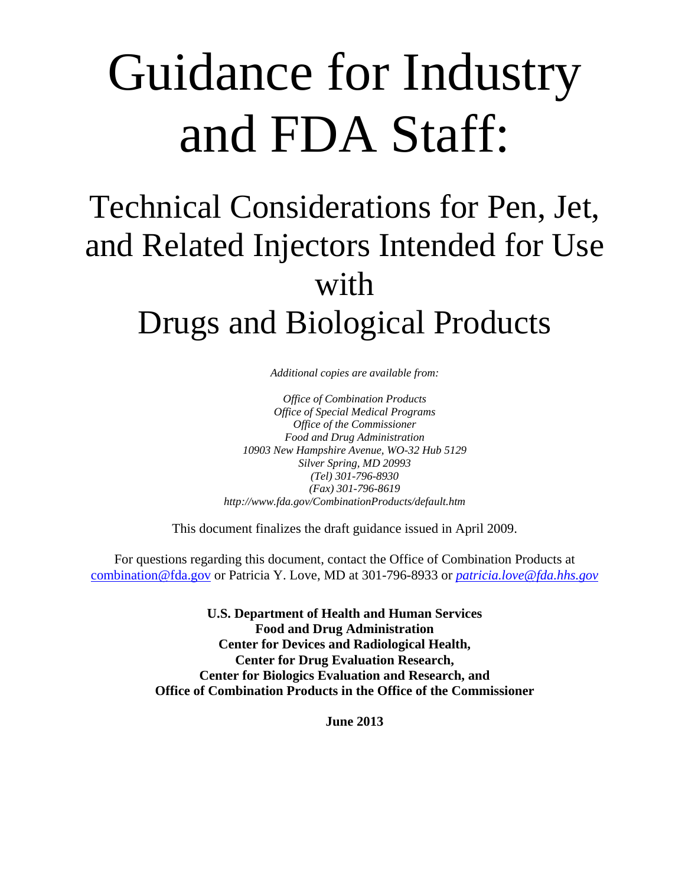# Guidance for Industry and FDA Staff:

# Technical Considerations for Pen, Jet, and Related Injectors Intended for Use with Drugs and Biological Products

*Additional copies are available from:* 

*Office of Combination Products Office of Special Medical Programs Office of the Commissioner Food and Drug Administration 10903 New Hampshire Avenue, WO-32 Hub 5129 Silver Spring, MD 20993 (Tel) 301-796-8930 (Fax) 301-796-8619 http://www.fda.gov/CombinationProducts/default.htm* 

This document finalizes the draft guidance issued in April 2009.

For questions regarding this document, contact the Office of Combination Products at [combination@fda.gov](mailto:combination@fda.gov) or Patricia Y. Love, MD at 301-796-8933 or *[patricia.love@fda.hhs.gov](mailto:patricia.love@fda.hhs.gov)*

> **U.S. Department of Health and Human Services Food and Drug Administration Center for Devices and Radiological Health, Center for Drug Evaluation Research, Center for Biologics Evaluation and Research, and Office of Combination Products in the Office of the Commissioner**

> > **June 2013**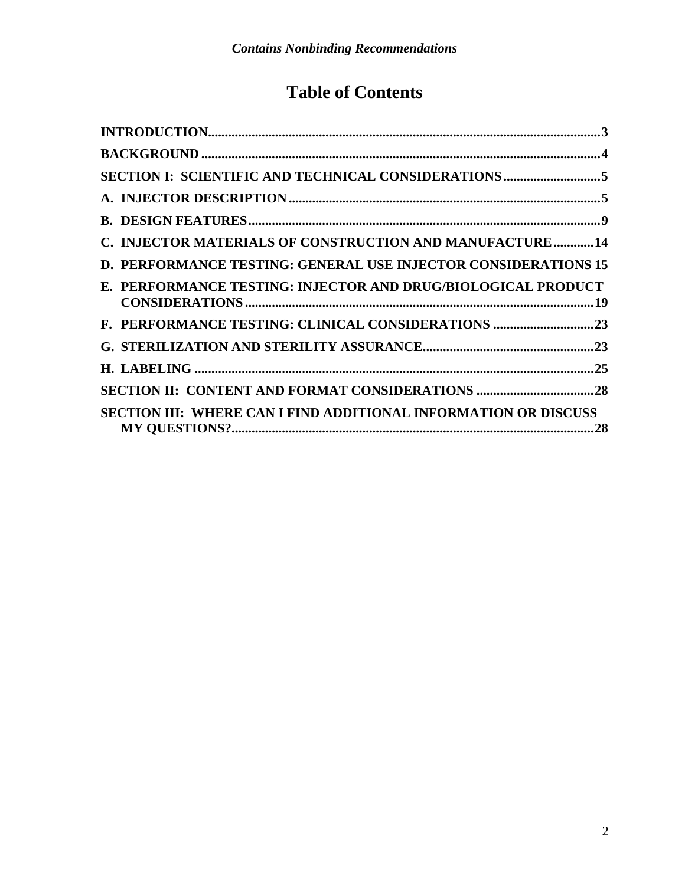# **Table of Contents**

| C. INJECTOR MATERIALS OF CONSTRUCTION AND MANUFACTURE 14              |  |
|-----------------------------------------------------------------------|--|
| <b>D. PERFORMANCE TESTING: GENERAL USE INJECTOR CONSIDERATIONS 15</b> |  |
| E. PERFORMANCE TESTING: INJECTOR AND DRUG/BIOLOGICAL PRODUCT          |  |
| F. PERFORMANCE TESTING: CLINICAL CONSIDERATIONS 23                    |  |
|                                                                       |  |
|                                                                       |  |
| <b>SECTION II: CONTENT AND FORMAT CONSIDERATIONS 28</b>               |  |
| SECTION III: WHERE CAN I FIND ADDITIONAL INFORMATION OR DISCUSS       |  |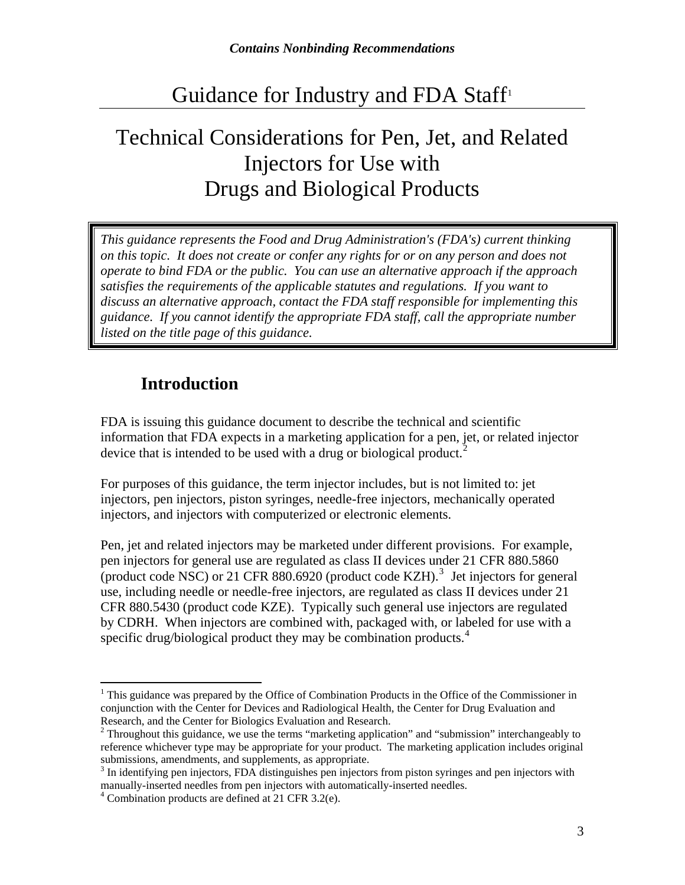# Guidance for Industry and FDA Staff<sup>[1](#page-2-1)</sup>

# Technical Considerations for Pen, Jet, and Related Injectors for Use with Drugs and Biological Products

*This guidance represents the Food and Drug Administration's (FDA's) current thinking on this topic. It does not create or confer any rights for or on any person and does not operate to bind FDA or the public. You can use an alternative approach if the approach satisfies the requirements of the applicable statutes and regulations. If you want to discuss an alternative approach, contact the FDA staff responsible for implementing this guidance. If you cannot identify the appropriate FDA staff, call the appropriate number listed on the title page of this guidance.* 

### **Introduction**

<span id="page-2-0"></span>FDA is issuing this guidance document to describe the technical and scientific information that FDA expects in a marketing application for a pen, jet, or related injector device that is intended to be used with a drug or biological product.<sup>[2](#page-2-2)</sup>

For purposes of this guidance, the term injector includes, but is not limited to: jet injectors, pen injectors, piston syringes, needle-free injectors, mechanically operated injectors, and injectors with computerized or electronic elements.

Pen, jet and related injectors may be marketed under different provisions. For example, pen injectors for general use are regulated as class II devices under 21 CFR 880.5860 (product code NSC) or 21 CFR  $880.6920$  (product code KZH).<sup>[3](#page-2-3)</sup> Jet injectors for general use, including needle or needle-free injectors, are regulated as class II devices under 21 CFR 880.5430 (product code KZE). Typically such general use injectors are regulated by CDRH. When injectors are combined with, packaged with, or labeled for use with a specific drug/biological product they may be combination products.<sup>[4](#page-2-4)</sup>

<span id="page-2-1"></span><sup>&</sup>lt;sup>1</sup> This guidance was prepared by the Office of Combination Products in the Office of the Commissioner in conjunction with the Center for Devices and Radiological Health, the Center for Drug Evaluation and Research, and the Center for Biologics Evaluation and Research.

<span id="page-2-2"></span><sup>&</sup>lt;sup>2</sup> Throughout this guidance, we use the terms "marketing application" and "submission" interchangeably to reference whichever type may be appropriate for your product. The marketing application includes original submissions, amendments, and supplements, as appropriate.

<span id="page-2-3"></span><sup>&</sup>lt;sup>3</sup> In identifying pen injectors, FDA distinguishes pen injectors from piston syringes and pen injectors with manually-inserted needles from pen injectors with automatically-inserted needles.

<span id="page-2-4"></span><sup>4</sup> Combination products are defined at 21 CFR 3.2(e).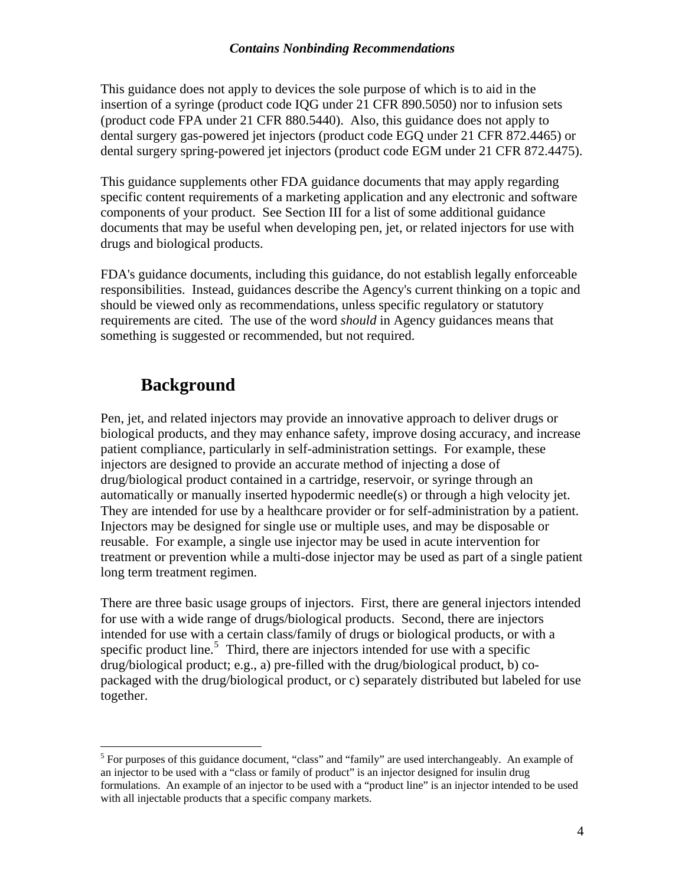This guidance does not apply to devices the sole purpose of which is to aid in the insertion of a syringe (product code IQG under 21 CFR 890.5050) nor to infusion sets (product code FPA under 21 CFR 880.5440). Also, this guidance does not apply to dental surgery gas-powered jet injectors (product code EGQ under 21 CFR 872.4465) or dental surgery spring-powered jet injectors (product code EGM under 21 CFR 872.4475).

This guidance supplements other FDA guidance documents that may apply regarding specific content requirements of a marketing application and any electronic and software components of your product. See Section III for a list of some additional guidance documents that may be useful when developing pen, jet, or related injectors for use with drugs and biological products.

FDA's guidance documents, including this guidance, do not establish legally enforceable responsibilities. Instead, guidances describe the Agency's current thinking on a topic and should be viewed only as recommendations, unless specific regulatory or statutory requirements are cited. The use of the word *should* in Agency guidances means that something is suggested or recommended, but not required.

#### **Background**

 $\overline{a}$ 

<span id="page-3-0"></span>Pen, jet, and related injectors may provide an innovative approach to deliver drugs or biological products, and they may enhance safety, improve dosing accuracy, and increase patient compliance, particularly in self-administration settings. For example, these injectors are designed to provide an accurate method of injecting a dose of drug/biological product contained in a cartridge, reservoir, or syringe through an automatically or manually inserted hypodermic needle(s) or through a high velocity jet. They are intended for use by a healthcare provider or for self-administration by a patient. Injectors may be designed for single use or multiple uses, and may be disposable or reusable. For example, a single use injector may be used in acute intervention for treatment or prevention while a multi-dose injector may be used as part of a single patient long term treatment regimen.

There are three basic usage groups of injectors. First, there are general injectors intended for use with a wide range of drugs/biological products. Second, there are injectors intended for use with a certain class/family of drugs or biological products, or with a specific product line.<sup>[5](#page-3-1)</sup> Third, there are injectors intended for use with a specific drug/biological product; e.g., a) pre-filled with the drug/biological product, b) copackaged with the drug/biological product, or c) separately distributed but labeled for use together.

<span id="page-3-1"></span> $<sup>5</sup>$  For purposes of this guidance document, "class" and "family" are used interchangeably. An example of</sup> an injector to be used with a "class or family of product" is an injector designed for insulin drug formulations. An example of an injector to be used with a "product line" is an injector intended to be used with all injectable products that a specific company markets.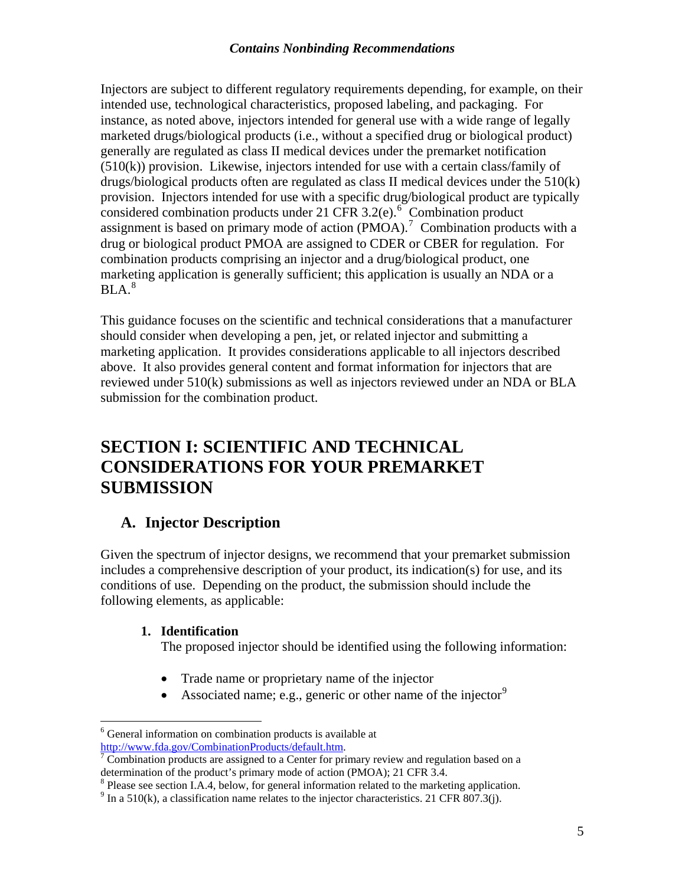Injectors are subject to different regulatory requirements depending, for example, on their intended use, technological characteristics, proposed labeling, and packaging. For instance, as noted above, injectors intended for general use with a wide range of legally marketed drugs/biological products (i.e., without a specified drug or biological product) generally are regulated as class II medical devices under the premarket notification (510(k)) provision. Likewise, injectors intended for use with a certain class/family of drugs/biological products often are regulated as class II medical devices under the 510(k) provision. Injectors intended for use with a specific drug/biological product are typically considered combination products under 21 CFR  $3.2$ (e).<sup>[6](#page-4-2)</sup> Combination product assignment is based on primary mode of action  $(PMOA)^7$  $(PMOA)^7$  Combination products with a drug or biological product PMOA are assigned to CDER or CBER for regulation. For combination products comprising an injector and a drug/biological product, one marketing application is generally sufficient; this application is usually an NDA or a  $BLA.<sup>8</sup>$  $BLA.<sup>8</sup>$  $BLA.<sup>8</sup>$ 

This guidance focuses on the scientific and technical considerations that a manufacturer should consider when developing a pen, jet, or related injector and submitting a marketing application. It provides considerations applicable to all injectors described above. It also provides general content and format information for injectors that are reviewed under 510(k) submissions as well as injectors reviewed under an NDA or BLA submission for the combination product.

# <span id="page-4-0"></span>**SECTION I: SCIENTIFIC AND TECHNICAL CONSIDERATIONS FOR YOUR PREMARKET SUBMISSION**

#### **A. Injector Description**

<span id="page-4-1"></span>Given the spectrum of injector designs, we recommend that your premarket submission includes a comprehensive description of your product, its indication(s) for use, and its conditions of use. Depending on the product, the submission should include the following elements, as applicable:

#### **1. Identification**

The proposed injector should be identified using the following information:

- Trade name or proprietary name of the injector
- Associated name; e.g., generic or other name of the injector<sup>[9](#page-4-5)</sup>

<span id="page-4-2"></span> $\overline{a}$ <sup>6</sup> General information on combination products is available at [http://www.fda.gov/CombinationProducts/default.htm.](http://www.fda.gov/CombinationProducts/default.htm) [7](http://www.fda.gov/CombinationProducts/default.htm)

<span id="page-4-3"></span>Combination products are assigned to a Center for primary review and regulation based on a determination of the product's primary mode of action (PMOA); 21 CFR 3.4.

<span id="page-4-4"></span> $8$  Please see section I.A.4, below, for general information related to the marketing application.

<span id="page-4-5"></span> $9 \text{ In a } 510 \text{(k)}$ , a classification name relates to the injector characteristics. 21 CFR 807.3(j).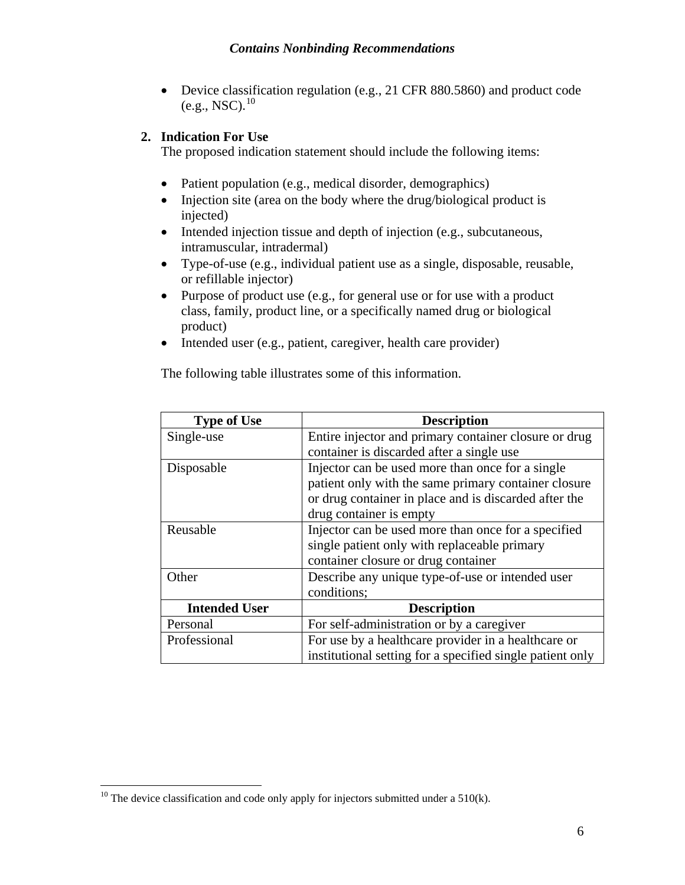Device classification regulation (e.g., 21 CFR 880.5860) and product code  $(e.g., NSC).^{10}$  $(e.g., NSC).^{10}$  $(e.g., NSC).^{10}$ 

#### **2. Indication For Use**

The proposed indication statement should include the following items:

- Patient population (e.g., medical disorder, demographics)
- Injection site (area on the body where the drug/biological product is injected)
- Intended injection tissue and depth of injection (e.g., subcutaneous, intramuscular, intradermal)
- Type-of-use (e.g., individual patient use as a single, disposable, reusable, or refillable injector)
- Purpose of product use (e.g., for general use or for use with a product class, family, product line, or a specifically named drug or biological product)
- Intended user (e.g., patient, caregiver, health care provider)

The following table illustrates some of this information.

| <b>Type of Use</b>   | <b>Description</b>                                        |
|----------------------|-----------------------------------------------------------|
| Single-use           | Entire injector and primary container closure or drug     |
|                      | container is discarded after a single use                 |
| Disposable           | Injector can be used more than once for a single          |
|                      | patient only with the same primary container closure      |
|                      | or drug container in place and is discarded after the     |
|                      | drug container is empty                                   |
| Reusable             | Injector can be used more than once for a specified       |
|                      | single patient only with replaceable primary              |
|                      | container closure or drug container                       |
| Other                | Describe any unique type-of-use or intended user          |
|                      | conditions;                                               |
| <b>Intended User</b> | <b>Description</b>                                        |
| Personal             | For self-administration or by a caregiver                 |
| Professional         | For use by a healthcare provider in a healthcare or       |
|                      | institutional setting for a specified single patient only |

<span id="page-5-0"></span><sup>&</sup>lt;sup>10</sup> The device classification and code only apply for injectors submitted under a  $510(k)$ .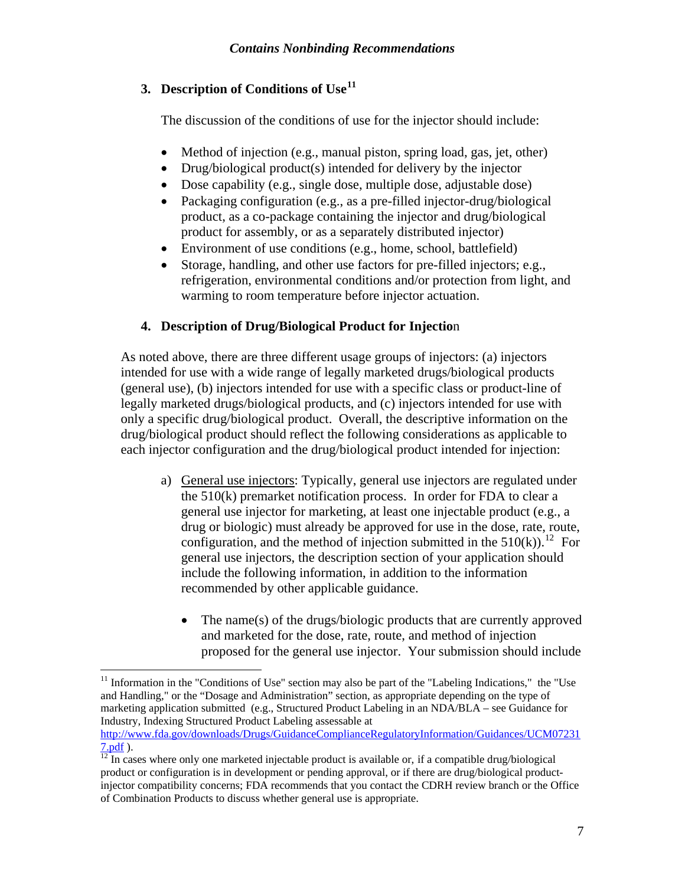#### **3. Description of Conditions of Use[11](#page-6-0)**

The discussion of the conditions of use for the injector should include:

- Method of injection (e.g., manual piston, spring load, gas, jet, other)
- Drug/biological product(s) intended for delivery by the injector
- Dose capability (e.g., single dose, multiple dose, adjustable dose)
- Packaging configuration (e.g., as a pre-filled injector-drug/biological product, as a co-package containing the injector and drug/biological product for assembly, or as a separately distributed injector)
- Environment of use conditions (e.g., home, school, battlefield)
- Storage, handling, and other use factors for pre-filled injectors; e.g., refrigeration, environmental conditions and/or protection from light, and warming to room temperature before injector actuation.

#### **4. Description of Drug/Biological Product for Injectio**n

As noted above, there are three different usage groups of injectors: (a) injectors intended for use with a wide range of legally marketed drugs/biological products (general use), (b) injectors intended for use with a specific class or product-line of legally marketed drugs/biological products, and (c) injectors intended for use with only a specific drug/biological product. Overall, the descriptive information on the drug/biological product should reflect the following considerations as applicable to each injector configuration and the drug/biological product intended for injection:

- a) General use injectors: Typically, general use injectors are regulated under the 510(k) premarket notification process. In order for FDA to clear a general use injector for marketing, at least one injectable product (e.g., a drug or biologic) must already be approved for use in the dose, rate, route, configuration, and the method of injection submitted in the  $510(k)$ .<sup>[12](#page-6-1)</sup> For general use injectors, the description section of your application should include the following information, in addition to the information recommended by other applicable guidance.
	- The name(s) of the drugs/biologic products that are currently approved and marketed for the dose, rate, route, and method of injection proposed for the general use injector. Your submission should include

1

[http://www.fda.gov/downloads/Drugs/GuidanceComplianceRegulatoryInformation/Guidances/UCM07231](http://www.fda.gov/downloads/Drugs/GuidanceComplianceRegulatoryInformation/Guidances/UCM072317.pdf)

<span id="page-6-0"></span> $11$  Information in the "Conditions of Use" section may also be part of the "Labeling Indications," the "Use and Handling," or the "Dosage and Administration" section, as appropriate depending on the type of marketing application submitted (e.g., Structured Product Labeling in an NDA/BLA – see Guidance for Industry, Indexing Structured Product Labeling assessable at

<span id="page-6-1"></span> $\frac{7. \text{pdf}}{12}$  $\frac{7. \text{pdf}}{12}$  $\frac{7. \text{pdf}}{12}$  In cases where only one marketed injectable product is available or, if a compatible drug/biological product or configuration is in development or pending approval, or if there are drug/biological productinjector compatibility concerns; FDA recommends that you contact the CDRH review branch or the Office of Combination Products to discuss whether general use is appropriate.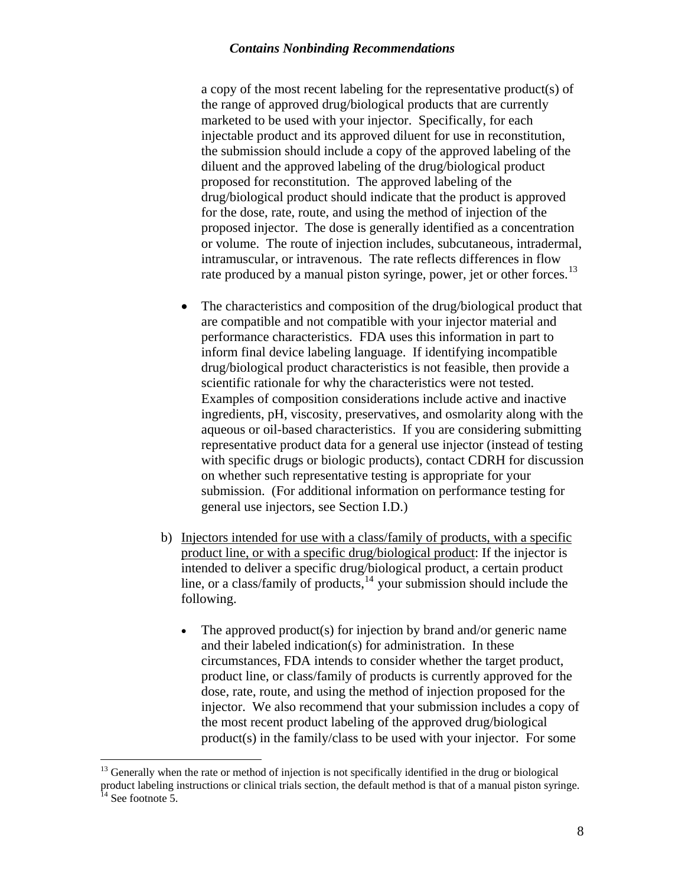a copy of the most recent labeling for the representative product(s) of the range of approved drug/biological products that are currently marketed to be used with your injector. Specifically, for each injectable product and its approved diluent for use in reconstitution, the submission should include a copy of the approved labeling of the diluent and the approved labeling of the drug/biological product proposed for reconstitution. The approved labeling of the drug/biological product should indicate that the product is approved for the dose, rate, route, and using the method of injection of the proposed injector. The dose is generally identified as a concentration or volume. The route of injection includes, subcutaneous, intradermal, intramuscular, or intravenous. The rate reflects differences in flow rate produced by a manual piston syringe, power, jet or other forces.<sup>13</sup>

- The characteristics and composition of the drug/biological product that are compatible and not compatible with your injector material and performance characteristics. FDA uses this information in part to inform final device labeling language. If identifying incompatible drug/biological product characteristics is not feasible, then provide a scientific rationale for why the characteristics were not tested. Examples of composition considerations include active and inactive ingredients, pH, viscosity, preservatives, and osmolarity along with the aqueous or oil-based characteristics. If you are considering submitting representative product data for a general use injector (instead of testing with specific drugs or biologic products), contact CDRH for discussion on whether such representative testing is appropriate for your submission. (For additional information on performance testing for general use injectors, see Section I.D.)
- b) Injectors intended for use with a class/family of products, with a specific product line, or with a specific drug/biological product: If the injector is intended to deliver a specific drug/biological product, a certain product line, or a class/family of products,  $14$  your submission should include the following.
	- The approved product(s) for injection by brand and/or generic name and their labeled indication(s) for administration. In these circumstances, FDA intends to consider whether the target product, product line, or class/family of products is currently approved for the dose, rate, route, and using the method of injection proposed for the injector. We also recommend that your submission includes a copy of the most recent product labeling of the approved drug/biological product(s) in the family/class to be used with your injector. For some

<span id="page-7-0"></span> $<sup>13</sup>$  Generally when the rate or method of injection is not specifically identified in the drug or biological</sup> product labeling instructions or clinical trials section, the default method is that of a manual piston syringe.  $14$  See footnote 5.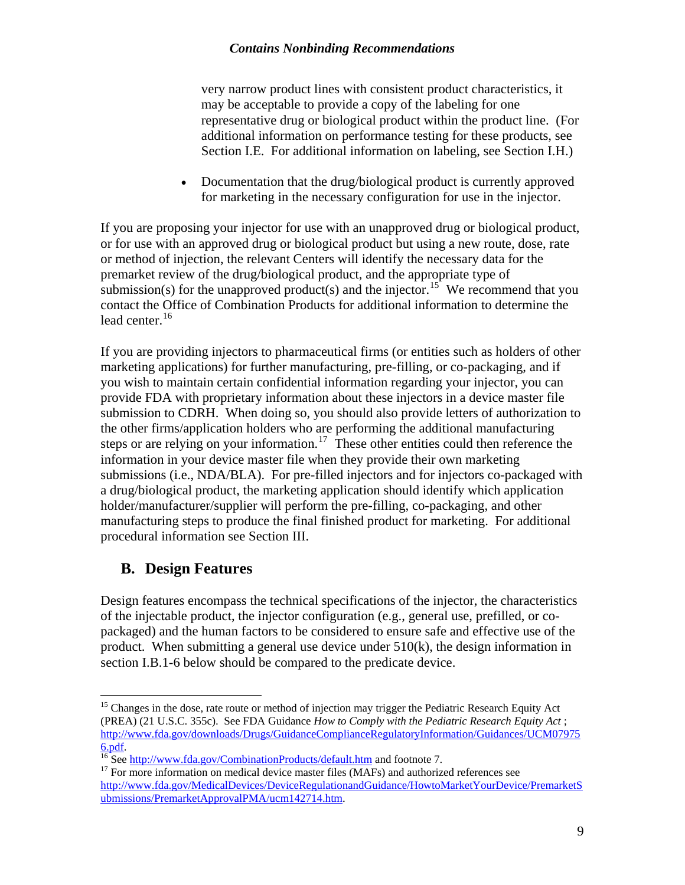very narrow product lines with consistent product characteristics, it may be acceptable to provide a copy of the labeling for one representative drug or biological product within the product line. (For additional information on performance testing for these products, see Section I.E. For additional information on labeling, see Section I.H.)

• Documentation that the drug/biological product is currently approved for marketing in the necessary configuration for use in the injector.

If you are proposing your injector for use with an unapproved drug or biological product, or for use with an approved drug or biological product but using a new route, dose, rate or method of injection, the relevant Centers will identify the necessary data for the premarket review of the drug/biological product, and the appropriate type of submission(s) for the unapproved product(s) and the injector.<sup>[15](#page-8-1)</sup> We recommend that you contact the Office of Combination Products for additional information to determine the lead center.<sup>[16](#page-8-2)</sup>

If you are providing injectors to pharmaceutical firms (or entities such as holders of other marketing applications) for further manufacturing, pre-filling, or co-packaging, and if you wish to maintain certain confidential information regarding your injector, you can provide FDA with proprietary information about these injectors in a device master file submission to CDRH. When doing so, you should also provide letters of authorization to the other firms/application holders who are performing the additional manufacturing steps or are relying on your information.<sup>[17](#page-8-3)</sup> These other entities could then reference the information in your device master file when they provide their own marketing submissions (i.e., NDA/BLA). For pre-filled injectors and for injectors co-packaged with a drug/biological product, the marketing application should identify which application holder/manufacturer/supplier will perform the pre-filling, co-packaging, and other manufacturing steps to produce the final finished product for marketing. For additional procedural information see Section III.

#### **B. Design Features**

 $\overline{a}$ 

<span id="page-8-0"></span>Design features encompass the technical specifications of the injector, the characteristics of the injectable product, the injector configuration (e.g., general use, prefilled, or copackaged) and the human factors to be considered to ensure safe and effective use of the product. When submitting a general use device under  $510(k)$ , the design information in section I.B.1-6 below should be compared to the predicate device.

<span id="page-8-1"></span><sup>&</sup>lt;sup>15</sup> Changes in the dose, rate route or method of injection may trigger the Pediatric Research Equity Act (PREA) (21 U.S.C. 355c). See FDA Guidance *How to Comply with the Pediatric Research Equity Act* ; [http://www.fda.gov/downloads/Drugs/GuidanceComplianceRegulatoryInformation/Guidances/UCM07975](http://www.fda.gov/downloads/Drugs/GuidanceComplianceRegulatoryInformation/Guidances/UCM079756.pdf) [6.pdf.](http://www.fda.gov/downloads/Drugs/GuidanceComplianceRegulatoryInformation/Guidances/UCM079756.pdf) [16](http://www.fda.gov/downloads/Drugs/GuidanceComplianceRegulatoryInformation/Guidances/UCM079756.pdf) See <http://www.fda.gov/CombinationProducts/default.htm>and footnote 7. 17 For more information on medical device master files (MAFs) and authorized references see

<span id="page-8-2"></span>

<span id="page-8-3"></span>[http://www.fda.gov/MedicalDevices/DeviceRegulationandGuidance/HowtoMarketYourDevice/PremarketS](http://www.fda.gov/MedicalDevices/DeviceRegulationandGuidance/HowtoMarketYourDevice/PremarketSubmissions/PremarketApprovalPMA/ucm142714.htm) [ubmissions/PremarketApprovalPMA/ucm142714.htm](http://www.fda.gov/MedicalDevices/DeviceRegulationandGuidance/HowtoMarketYourDevice/PremarketSubmissions/PremarketApprovalPMA/ucm142714.htm).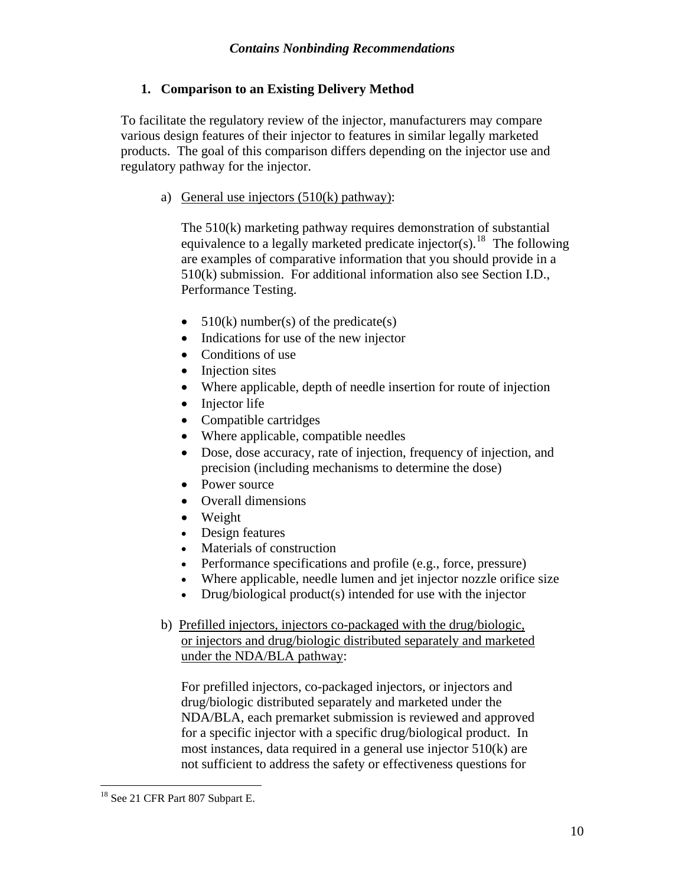#### **1. Comparison to an Existing Delivery Method**

To facilitate the regulatory review of the injector, manufacturers may compare various design features of their injector to features in similar legally marketed products. The goal of this comparison differs depending on the injector use and regulatory pathway for the injector.

a) General use injectors (510(k) pathway):

The 510(k) marketing pathway requires demonstration of substantial equivalence to a legally marketed predicate injector(s).<sup>[18](#page-9-0)</sup> The following are examples of comparative information that you should provide in a 510(k) submission. For additional information also see Section I.D., Performance Testing.

- $510(k)$  number(s) of the predicate(s)
- Indications for use of the new injector
- Conditions of use
- Injection sites
- Where applicable, depth of needle insertion for route of injection
- $\bullet$  Injector life
- Compatible cartridges
- Where applicable, compatible needles
- Dose, dose accuracy, rate of injection, frequency of injection, and precision (including mechanisms to determine the dose)
- Power source
- Overall dimensions
- Weight
- Design features
- Materials of construction
- Performance specifications and profile (e.g., force, pressure)
- Where applicable, needle lumen and jet injector nozzle orifice size
- Drug/biological product(s) intended for use with the injector
- b) Prefilled injectors, injectors co-packaged with the drug/biologic, or injectors and drug/biologic distributed separately and marketed under the NDA/BLA pathway:

 For prefilled injectors, co-packaged injectors, or injectors and drug/biologic distributed separately and marketed under the NDA/BLA, each premarket submission is reviewed and approved for a specific injector with a specific drug/biological product. In most instances, data required in a general use injector 510(k) are not sufficient to address the safety or effectiveness questions for

<span id="page-9-0"></span><sup>&</sup>lt;sup>18</sup> See 21 CFR Part 807 Subpart E.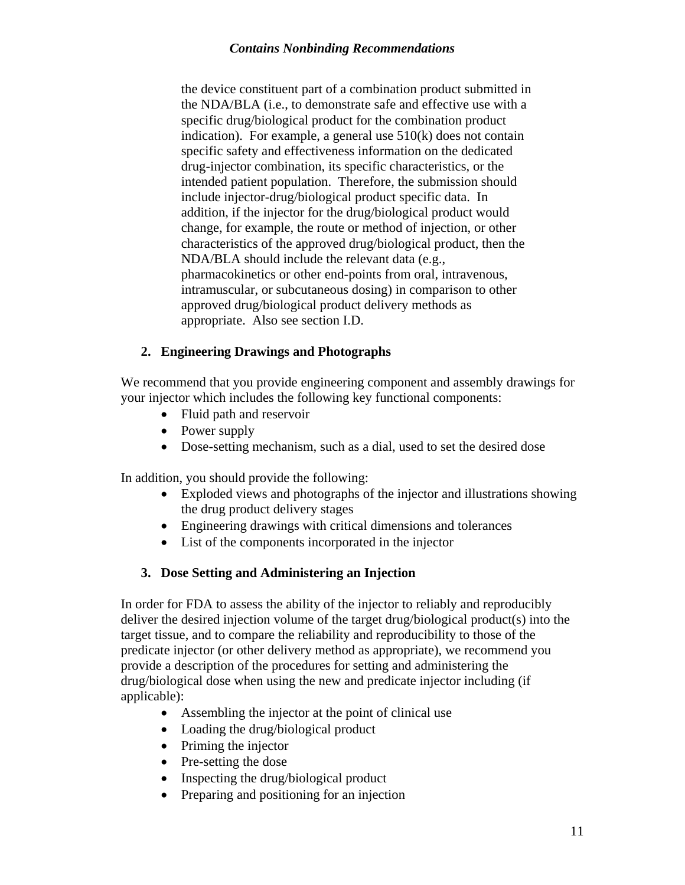the device constituent part of a combination product submitted in the NDA/BLA (i.e., to demonstrate safe and effective use with a specific drug/biological product for the combination product indication). For example, a general use  $510(k)$  does not contain specific safety and effectiveness information on the dedicated drug-injector combination, its specific characteristics, or the intended patient population. Therefore, the submission should include injector-drug/biological product specific data. In addition, if the injector for the drug/biological product would change, for example, the route or method of injection, or other characteristics of the approved drug/biological product, then the NDA/BLA should include the relevant data (e.g., pharmacokinetics or other end-points from oral, intravenous, intramuscular, or subcutaneous dosing) in comparison to other approved drug/biological product delivery methods as appropriate. Also see section I.D.

#### **2. Engineering Drawings and Photographs**

We recommend that you provide engineering component and assembly drawings for your injector which includes the following key functional components:

- Fluid path and reservoir
- Power supply
- Dose-setting mechanism, such as a dial, used to set the desired dose

In addition, you should provide the following:

- Exploded views and photographs of the injector and illustrations showing the drug product delivery stages
- Engineering drawings with critical dimensions and tolerances
- List of the components incorporated in the injector

#### **3. Dose Setting and Administering an Injection**

In order for FDA to assess the ability of the injector to reliably and reproducibly deliver the desired injection volume of the target drug/biological product(s) into the target tissue, and to compare the reliability and reproducibility to those of the predicate injector (or other delivery method as appropriate), we recommend you provide a description of the procedures for setting and administering the drug/biological dose when using the new and predicate injector including (if applicable):

- Assembling the injector at the point of clinical use
- Loading the drug/biological product
- Priming the injector
- Pre-setting the dose
- Inspecting the drug/biological product
- Preparing and positioning for an injection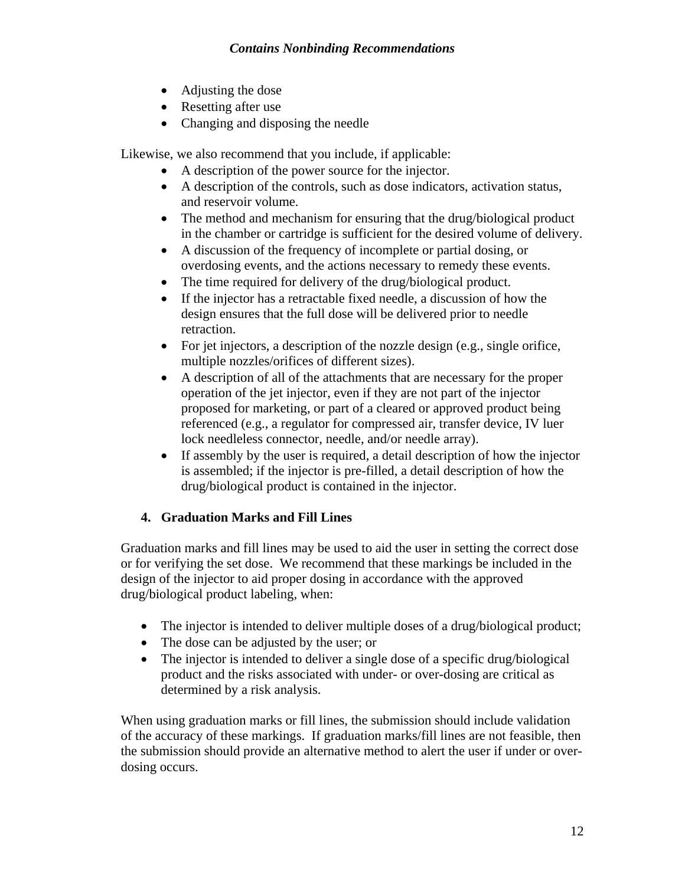- Adjusting the dose
- Resetting after use
- Changing and disposing the needle

Likewise, we also recommend that you include, if applicable:

- A description of the power source for the injector.
- A description of the controls, such as dose indicators, activation status, and reservoir volume.
- The method and mechanism for ensuring that the drug/biological product in the chamber or cartridge is sufficient for the desired volume of delivery.
- A discussion of the frequency of incomplete or partial dosing, or overdosing events, and the actions necessary to remedy these events.
- The time required for delivery of the drug/biological product.
- If the injector has a retractable fixed needle, a discussion of how the design ensures that the full dose will be delivered prior to needle retraction.
- For jet injectors, a description of the nozzle design (e.g., single orifice, multiple nozzles/orifices of different sizes).
- A description of all of the attachments that are necessary for the proper operation of the jet injector, even if they are not part of the injector proposed for marketing, or part of a cleared or approved product being referenced (e.g., a regulator for compressed air, transfer device, IV luer lock needleless connector, needle, and/or needle array).
- If assembly by the user is required, a detail description of how the injector is assembled; if the injector is pre-filled, a detail description of how the drug/biological product is contained in the injector.

#### **4. Graduation Marks and Fill Lines**

Graduation marks and fill lines may be used to aid the user in setting the correct dose or for verifying the set dose. We recommend that these markings be included in the design of the injector to aid proper dosing in accordance with the approved drug/biological product labeling, when:

- The injector is intended to deliver multiple doses of a drug/biological product;
- The dose can be adjusted by the user; or
- The injector is intended to deliver a single dose of a specific drug/biological product and the risks associated with under- or over-dosing are critical as determined by a risk analysis.

When using graduation marks or fill lines, the submission should include validation of the accuracy of these markings. If graduation marks/fill lines are not feasible, then the submission should provide an alternative method to alert the user if under or overdosing occurs.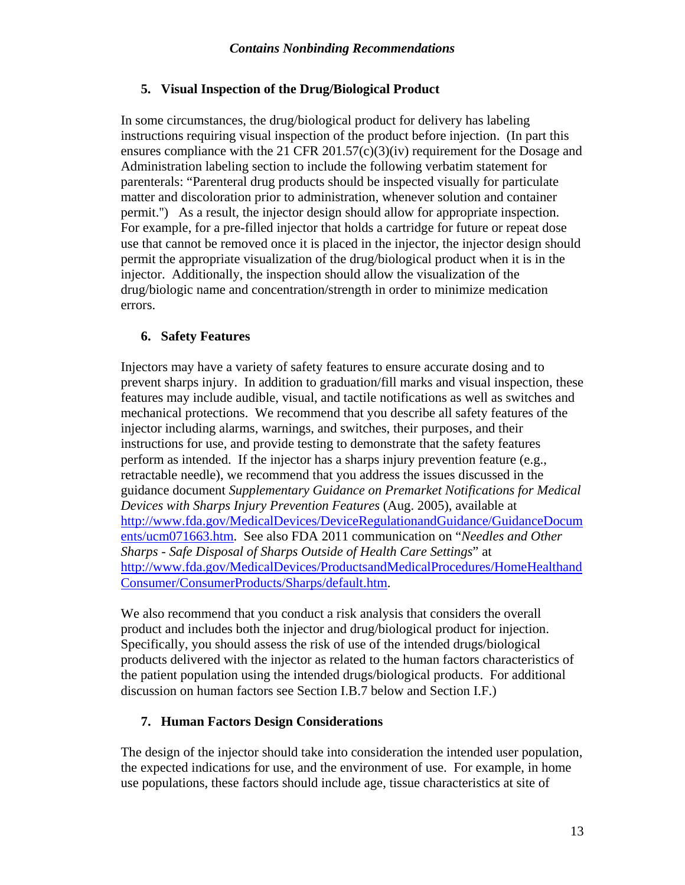#### **5. Visual Inspection of the Drug/Biological Product**

In some circumstances, the drug/biological product for delivery has labeling instructions requiring visual inspection of the product before injection. (In part this ensures compliance with the 21 CFR 201.57(c)(3)(iv) requirement for the Dosage and Administration labeling section to include the following verbatim statement for parenterals: "Parenteral drug products should be inspected visually for particulate matter and discoloration prior to administration, whenever solution and container permit.'') As a result, the injector design should allow for appropriate inspection. For example, for a pre-filled injector that holds a cartridge for future or repeat dose use that cannot be removed once it is placed in the injector, the injector design should permit the appropriate visualization of the drug/biological product when it is in the injector. Additionally, the inspection should allow the visualization of the drug/biologic name and concentration/strength in order to minimize medication errors.

#### **6. Safety Features**

Injectors may have a variety of safety features to ensure accurate dosing and to prevent sharps injury. In addition to graduation/fill marks and visual inspection, these features may include audible, visual, and tactile notifications as well as switches and mechanical protections. We recommend that you describe all safety features of the injector including alarms, warnings, and switches, their purposes, and their instructions for use, and provide testing to demonstrate that the safety features perform as intended. If the injector has a sharps injury prevention feature (e.g., retractable needle), we recommend that you address the issues discussed in the guidance document *Supplementary Guidance on Premarket Notifications for Medical Devices with Sharps Injury Prevention Features* (Aug. 2005), available at [http://www.fda.gov/MedicalDevices/DeviceRegulationandGuidance/GuidanceDocum](http://www.fda.gov/MedicalDevices/DeviceRegulationandGuidance/GuidanceDocuments/ucm071663.htm) [ents/ucm071663.htm.](http://www.fda.gov/MedicalDevices/DeviceRegulationandGuidance/GuidanceDocuments/ucm071663.htm) See also FDA 2011 communication on "*Needles and Other Sharps - Safe Disposal of Sharps Outside of Health Care Settings*" at [http://www.fda.gov/MedicalDevices/ProductsandMedicalProcedures/HomeHealthand](http://www.fda.gov/MedicalDevices/ProductsandMedicalProcedures/HomeHealthandConsumer/ConsumerProducts/Sharps/default.htm) [Consumer/ConsumerProducts/Sharps/default.htm](http://www.fda.gov/MedicalDevices/ProductsandMedicalProcedures/HomeHealthandConsumer/ConsumerProducts/Sharps/default.htm).

We also recommend that you conduct a risk analysis that considers the overall product and includes both the injector and drug/biological product for injection. Specifically, you should assess the risk of use of the intended drugs/biological products delivered with the injector as related to the human factors characteristics of the patient population using the intended drugs/biological products. For additional discussion on human factors see Section I.B.7 below and Section I.F.)

#### **7. Human Factors Design Considerations**

The design of the injector should take into consideration the intended user population, the expected indications for use, and the environment of use. For example, in home use populations, these factors should include age, tissue characteristics at site of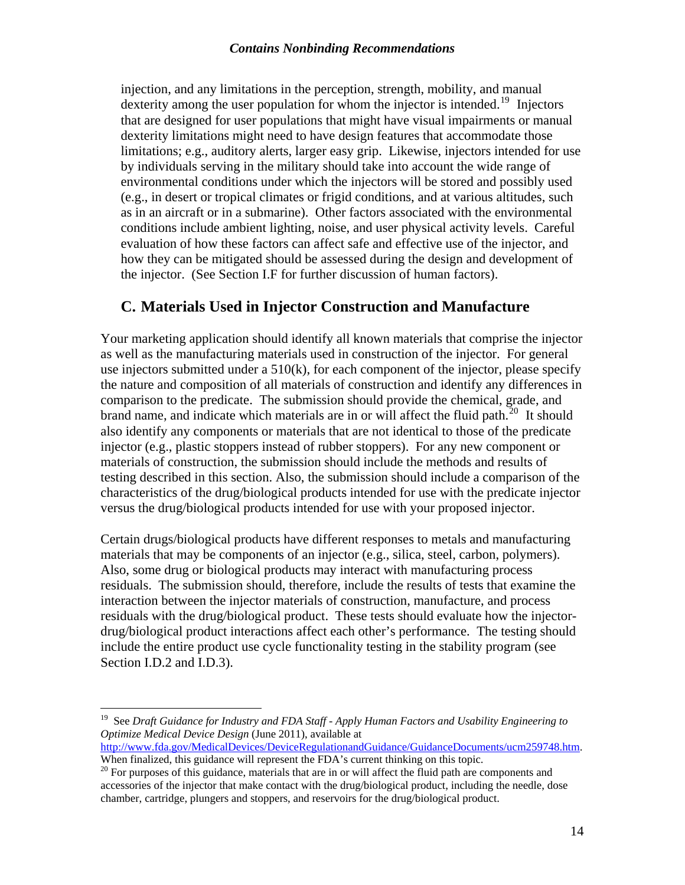injection, and any limitations in the perception, strength, mobility, and manual dexterity among the user population for whom the injector is intended.<sup>[19](#page-13-1)</sup> Injectors that are designed for user populations that might have visual impairments or manual dexterity limitations might need to have design features that accommodate those limitations; e.g., auditory alerts, larger easy grip. Likewise, injectors intended for use by individuals serving in the military should take into account the wide range of environmental conditions under which the injectors will be stored and possibly used (e.g., in desert or tropical climates or frigid conditions, and at various altitudes, such as in an aircraft or in a submarine). Other factors associated with the environmental conditions include ambient lighting, noise, and user physical activity levels. Careful evaluation of how these factors can affect safe and effective use of the injector, and how they can be mitigated should be assessed during the design and development of the injector. (See Section I.F for further discussion of human factors).

#### **C. Materials Used in Injector Construction and Manufacture**

<span id="page-13-0"></span>Your marketing application should identify all known materials that comprise the injector as well as the manufacturing materials used in construction of the injector. For general use injectors submitted under a  $510(k)$ , for each component of the injector, please specify the nature and composition of all materials of construction and identify any differences in comparison to the predicate. The submission should provide the chemical, grade, and brand name, and indicate which materials are in or will affect the fluid path.<sup>[20](#page-13-2)</sup> It should also identify any components or materials that are not identical to those of the predicate injector (e.g., plastic stoppers instead of rubber stoppers). For any new component or materials of construction, the submission should include the methods and results of testing described in this section. Also, the submission should include a comparison of the characteristics of the drug/biological products intended for use with the predicate injector versus the drug/biological products intended for use with your proposed injector.

Certain drugs/biological products have different responses to metals and manufacturing materials that may be components of an injector (e.g., silica, steel, carbon, polymers). Also, some drug or biological products may interact with manufacturing process residuals. The submission should, therefore, include the results of tests that examine the interaction between the injector materials of construction, manufacture, and process residuals with the drug/biological product. These tests should evaluate how the injectordrug/biological product interactions affect each other's performance. The testing should include the entire product use cycle functionality testing in the stability program (see Section I.D.2 and I.D.3).

 $\overline{a}$ 

<http://www.fda.gov/MedicalDevices/DeviceRegulationandGuidance/GuidanceDocuments/ucm259748.htm>.

<span id="page-13-1"></span><sup>19</sup> See *Draft Guidance for Industry and FDA Staff - Apply Human Factors and Usability Engineering to Optimize Medical Device Design* (June 2011), available at

<span id="page-13-2"></span>When finalized, this guidance will represent the FDA's current thinking on this topic.  $^{20}$  For purposes of this guidance, materials that are in or will affect the fluid path are components and accessories of the injector that make contact with the drug/biological product, including the needle, dose chamber, cartridge, plungers and stoppers, and reservoirs for the drug/biological product.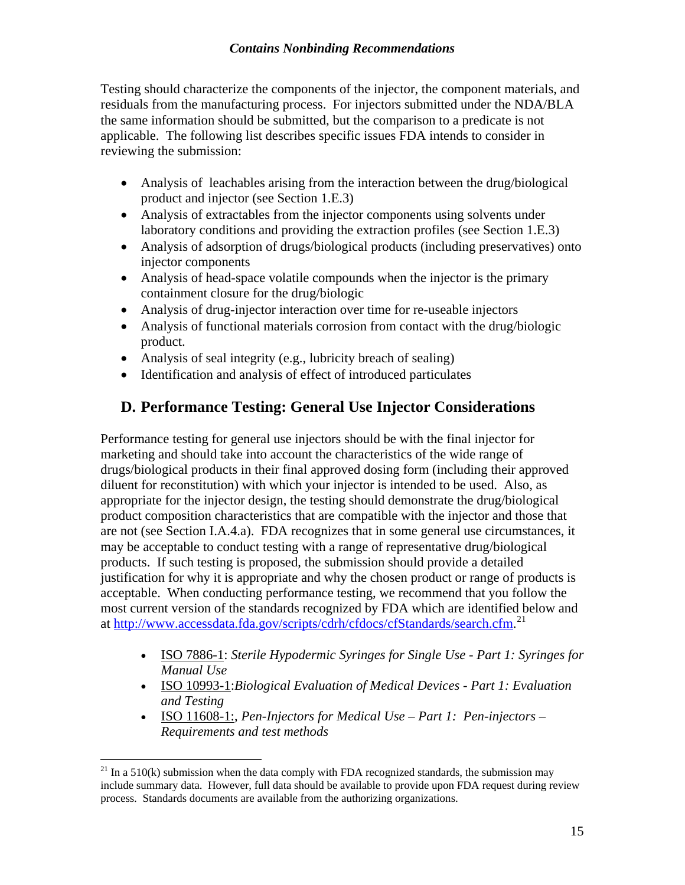Testing should characterize the components of the injector, the component materials, and residuals from the manufacturing process. For injectors submitted under the NDA/BLA the same information should be submitted, but the comparison to a predicate is not applicable. The following list describes specific issues FDA intends to consider in reviewing the submission:

- Analysis of leachables arising from the interaction between the drug/biological product and injector (see Section 1.E.3)
- Analysis of extractables from the injector components using solvents under laboratory conditions and providing the extraction profiles (see Section 1.E.3)
- Analysis of adsorption of drugs/biological products (including preservatives) onto injector components
- Analysis of head-space volatile compounds when the injector is the primary containment closure for the drug/biologic
- Analysis of drug-injector interaction over time for re-useable injectors
- Analysis of functional materials corrosion from contact with the drug/biologic product.
- Analysis of seal integrity (e.g., lubricity breach of sealing)
- Identification and analysis of effect of introduced particulates

#### **D. Performance Testing: General Use Injector Considerations**

<span id="page-14-0"></span>Performance testing for general use injectors should be with the final injector for marketing and should take into account the characteristics of the wide range of drugs/biological products in their final approved dosing form (including their approved diluent for reconstitution) with which your injector is intended to be used. Also, as appropriate for the injector design, the testing should demonstrate the drug/biological product composition characteristics that are compatible with the injector and those that are not (see Section I.A.4.a). FDA recognizes that in some general use circumstances, it may be acceptable to conduct testing with a range of representative drug/biological products. If such testing is proposed, the submission should provide a detailed justification for why it is appropriate and why the chosen product or range of products is acceptable. When conducting performance testing, we recommend that you follow the most current version of the standards recognized by FDA which are identified below and at [http://www.accessdata.fda.gov/scripts/cdrh/cfdocs/cfStandards/search.cfm.](http://www.accessdata.fda.gov/scripts/cdrh/cfdocs/cfStandards/search.cfm)<sup>[21](#page-14-1)</sup>

- ISO 7886-1: *Sterile Hypodermic Syringes for Single Use Part 1: Syringes for Manual Use*
- ISO 10993-1:*Biological Evaluation of Medical Devices Part 1: Evaluation and Testing*
- ISO 11608-1:, *Pen-Injectors for Medical Use Part 1: Pen-injectors Requirements and test methods*

1

<span id="page-14-1"></span> $21$  In a 510(k) submission when the data comply with FDA recognized standards, the submission may include summary data. However, full data should be available to provide upon FDA request during review process. Standards documents are available from the authorizing organizations.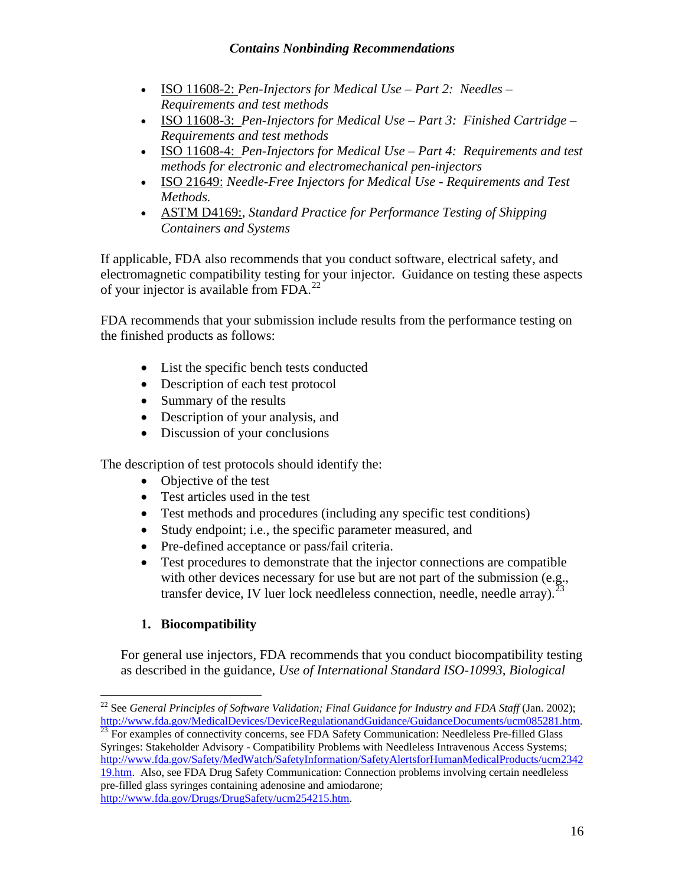- ISO 11608-2: *Pen-Injectors for Medical Use Part 2: Needles Requirements and test methods*
- ISO 11608-3: *Pen-Injectors for Medical Use Part 3: Finished Cartridge Requirements and test methods*
- ISO 11608-4: *Pen-Injectors for Medical Use Part 4: Requirements and test methods for electronic and electromechanical pen-injectors*
- ISO 21649: *Needle-Free Injectors for Medical Use Requirements and Test Methods.*
- ASTM D4169:, *Standard Practice for Performance Testing of Shipping Containers and Systems*

If applicable, FDA also recommends that you conduct software, electrical safety, and electromagnetic compatibility testing for your injector. Guidance on testing these aspects of your injector is available from FDA.[22](#page-15-0)

FDA recommends that your submission include results from the performance testing on the finished products as follows:

- List the specific bench tests conducted
- Description of each test protocol
- Summary of the results
- Description of your analysis, and
- Discussion of your conclusions

The description of test protocols should identify the:

- Objective of the test
- Test articles used in the test
- Test methods and procedures (including any specific test conditions)
- Study endpoint; i.e., the specific parameter measured, and
- Pre-defined acceptance or pass/fail criteria.
- Test procedures to demonstrate that the injector connections are compatible with other devices necessary for use but are not part of the submission (e.g., transfer device, IV luer lock needleless connection, needle, needle array).<sup>[23](#page-15-1)</sup>

#### **1. Biocompatibility**

For general use injectors, FDA recommends that you conduct biocompatibility testing as described in the guidance, *Use of International Standard ISO-10993, Biological* 

<span id="page-15-1"></span>Syringes: Stakeholder Advisory - Compatibility Problems with Needleless Intravenous Access Systems; [http://www.fda.gov/Safety/MedWatch/SafetyInformation/SafetyAlertsforHumanMedicalProducts/ucm2342](http://www.fda.gov/Safety/MedWatch/SafetyInformation/SafetyAlertsforHumanMedicalProducts/ucm234219.htm) [19.htm](http://www.fda.gov/Safety/MedWatch/SafetyInformation/SafetyAlertsforHumanMedicalProducts/ucm234219.htm). Also, see FDA Drug Safety Communication: Connection problems involving certain needleless pre-filled glass syringes containing adenosine and amiodarone; <http://www.fda.gov/Drugs/DrugSafety/ucm254215.htm>.

<span id="page-15-0"></span><sup>1</sup> 22 See *General Principles of Software Validation; Final Guidance for Industry and FDA Staff* (Jan. 2002); <http://www.fda.gov/MedicalDevices/DeviceRegulationandGuidance/GuidanceDocuments/ucm085281.htm>. <sup>23</sup> For examples of connectivity concerns, see FDA Safety Communication: Needleless Pre-filled Glass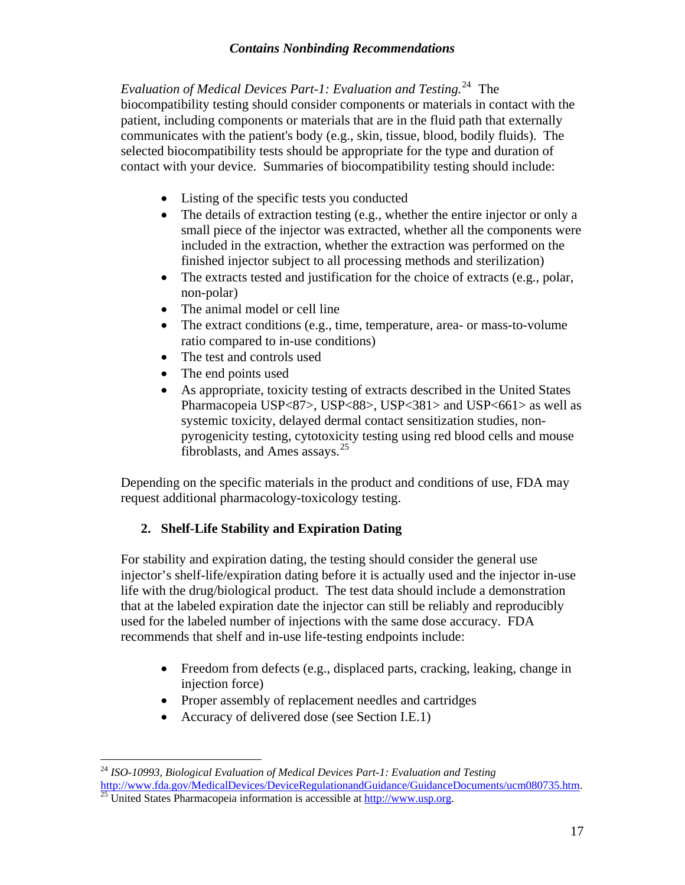*Evaluation of Medical Devices Part-1: Evaluation and Testing.*[24](#page-16-0) The biocompatibility testing should consider components or materials in contact with the patient, including components or materials that are in the fluid path that externally communicates with the patient's body (e.g., skin, tissue, blood, bodily fluids). The selected biocompatibility tests should be appropriate for the type and duration of contact with your device. Summaries of biocompatibility testing should include:

- Listing of the specific tests you conducted
- The details of extraction testing (e.g., whether the entire injector or only a small piece of the injector was extracted, whether all the components were included in the extraction, whether the extraction was performed on the finished injector subject to all processing methods and sterilization)
- The extracts tested and justification for the choice of extracts (e.g., polar, non-polar)
- The animal model or cell line
- The extract conditions (e.g., time, temperature, area- or mass-to-volume ratio compared to in-use conditions)
- The test and controls used
- The end points used
- As appropriate, toxicity testing of extracts described in the United States Pharmacopeia USP<87>, USP<88>, USP<381> and USP<661> as well as systemic toxicity, delayed dermal contact sensitization studies, nonpyrogenicity testing, cytotoxicity testing using red blood cells and mouse fibroblasts, and Ames assays. $25$

Depending on the specific materials in the product and conditions of use, FDA may request additional pharmacology-toxicology testing.

#### **2. Shelf-Life Stability and Expiration Dating**

For stability and expiration dating, the testing should consider the general use injector's shelf-life/expiration dating before it is actually used and the injector in-use life with the drug/biological product. The test data should include a demonstration that at the labeled expiration date the injector can still be reliably and reproducibly used for the labeled number of injections with the same dose accuracy. FDA recommends that shelf and in-use life-testing endpoints include:

- Freedom from defects (e.g., displaced parts, cracking, leaking, change in injection force)
- Proper assembly of replacement needles and cartridges
- Accuracy of delivered dose (see Section I.E.1)

<span id="page-16-0"></span> $\overline{a}$ <sup>24</sup> *ISO-10993, Biological Evaluation of Medical Devices Part-1: Evaluation and Testing* <http://www.fda.gov/MedicalDevices/DeviceRegulationandGuidance/GuidanceDocuments/ucm080735.htm>. <sup>25</sup> United States Pharmacopeia information is accessible at [http://www.usp.org.](http://www.usp.org/)

<span id="page-16-1"></span>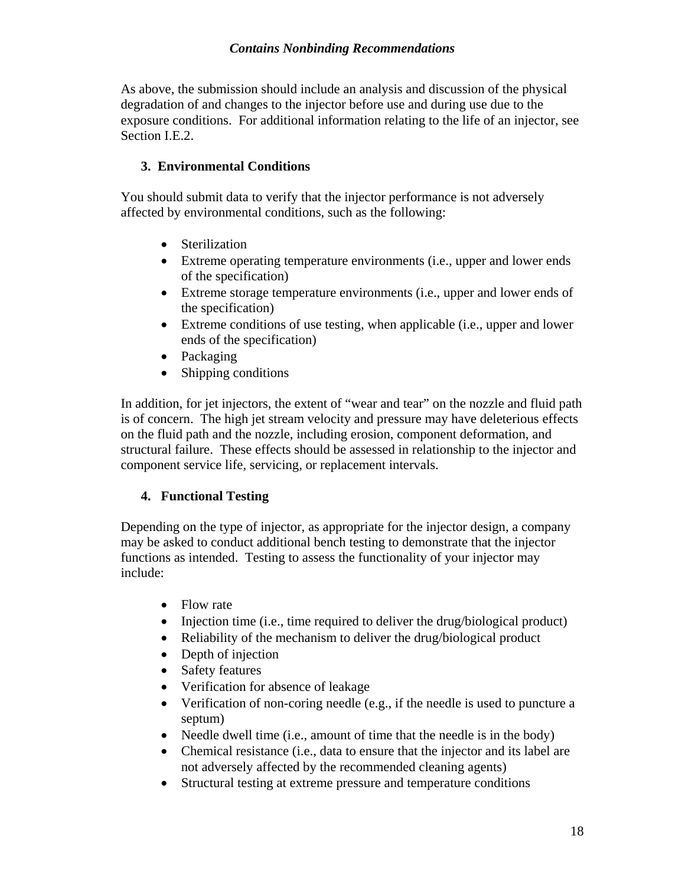As above, the submission should include an analysis and discussion of the physical degradation of and changes to the injector before use and during use due to the exposure conditions. For additional information relating to the life of an injector, see Section I.E.2.

#### **3. Environmental Conditions**

You should submit data to verify that the injector performance is not adversely affected by environmental conditions, such as the following:

- Sterilization
- Extreme operating temperature environments (i.e., upper and lower ends of the specification)
- Extreme storage temperature environments (i.e., upper and lower ends of the specification)
- Extreme conditions of use testing, when applicable (i.e., upper and lower ends of the specification)
- Packaging
- Shipping conditions

In addition, for jet injectors, the extent of "wear and tear" on the nozzle and fluid path is of concern. The high jet stream velocity and pressure may have deleterious effects on the fluid path and the nozzle, including erosion, component deformation, and structural failure. These effects should be assessed in relationship to the injector and component service life, servicing, or replacement intervals.

#### **4. Functional Testing**

Depending on the type of injector, as appropriate for the injector design, a company may be asked to conduct additional bench testing to demonstrate that the injector functions as intended. Testing to assess the functionality of your injector may include:

- Flow rate
- Injection time (i.e., time required to deliver the drug/biological product)
- Reliability of the mechanism to deliver the drug/biological product
- Depth of injection
- Safety features
- Verification for absence of leakage
- Verification of non-coring needle (e.g., if the needle is used to puncture a septum)
- Needle dwell time (i.e., amount of time that the needle is in the body)
- Chemical resistance (i.e., data to ensure that the injector and its label are not adversely affected by the recommended cleaning agents)
- Structural testing at extreme pressure and temperature conditions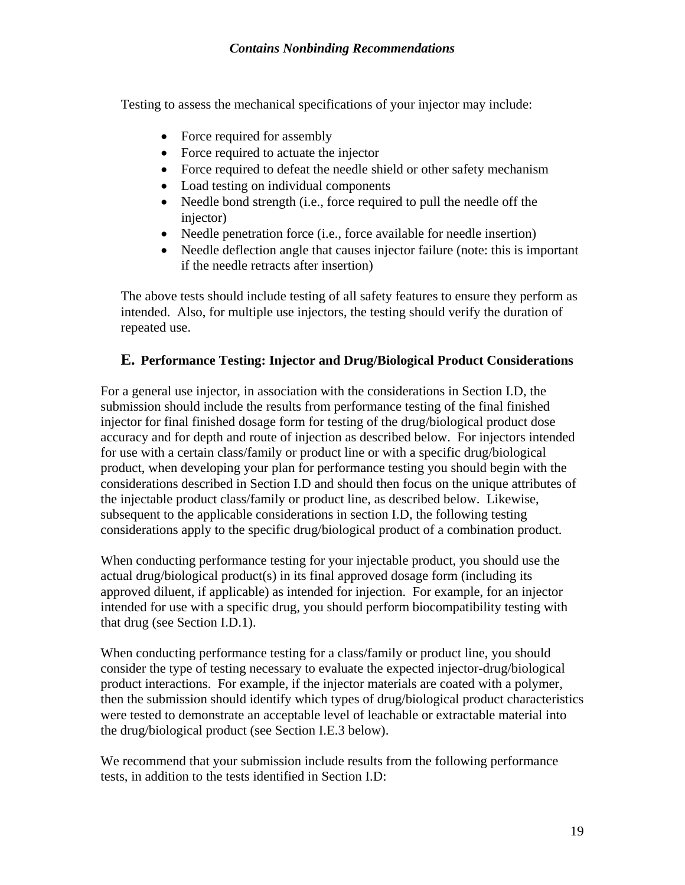Testing to assess the mechanical specifications of your injector may include:

- Force required for assembly
- Force required to actuate the injector
- Force required to defeat the needle shield or other safety mechanism
- Load testing on individual components
- Needle bond strength (i.e., force required to pull the needle off the injector)
- Needle penetration force (i.e., force available for needle insertion)
- Needle deflection angle that causes injector failure (note: this is important if the needle retracts after insertion)

The above tests should include testing of all safety features to ensure they perform as intended. Also, for multiple use injectors, the testing should verify the duration of repeated use.

#### **E. Performance Testing: Injector and Drug/Biological Product Considerations**

<span id="page-18-0"></span>For a general use injector, in association with the considerations in Section I.D, the submission should include the results from performance testing of the final finished injector for final finished dosage form for testing of the drug/biological product dose accuracy and for depth and route of injection as described below. For injectors intended for use with a certain class/family or product line or with a specific drug/biological product, when developing your plan for performance testing you should begin with the considerations described in Section I.D and should then focus on the unique attributes of the injectable product class/family or product line, as described below. Likewise, subsequent to the applicable considerations in section I.D, the following testing considerations apply to the specific drug/biological product of a combination product.

When conducting performance testing for your injectable product, you should use the actual drug/biological product(s) in its final approved dosage form (including its approved diluent, if applicable) as intended for injection. For example, for an injector intended for use with a specific drug, you should perform biocompatibility testing with that drug (see Section I.D.1).

When conducting performance testing for a class/family or product line, you should consider the type of testing necessary to evaluate the expected injector-drug/biological product interactions. For example, if the injector materials are coated with a polymer, then the submission should identify which types of drug/biological product characteristics were tested to demonstrate an acceptable level of leachable or extractable material into the drug/biological product (see Section I.E.3 below).

We recommend that your submission include results from the following performance tests, in addition to the tests identified in Section I.D: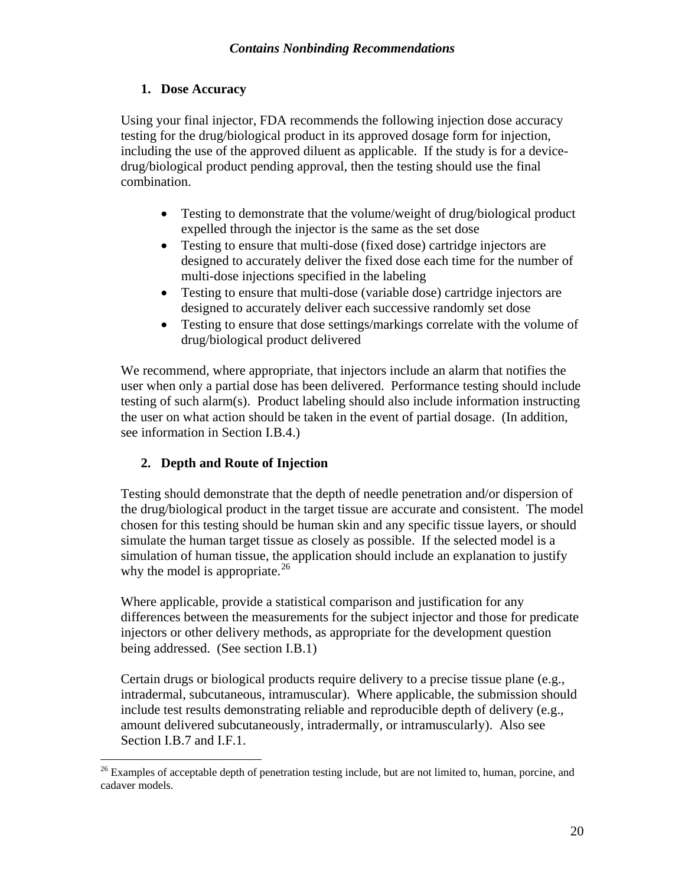#### **1. Dose Accuracy**

Using your final injector, FDA recommends the following injection dose accuracy testing for the drug/biological product in its approved dosage form for injection, including the use of the approved diluent as applicable. If the study is for a devicedrug/biological product pending approval, then the testing should use the final combination.

- Testing to demonstrate that the volume/weight of drug/biological product expelled through the injector is the same as the set dose
- Testing to ensure that multi-dose (fixed dose) cartridge injectors are designed to accurately deliver the fixed dose each time for the number of multi-dose injections specified in the labeling
- Testing to ensure that multi-dose (variable dose) cartridge injectors are designed to accurately deliver each successive randomly set dose
- Testing to ensure that dose settings/markings correlate with the volume of drug/biological product delivered

We recommend, where appropriate, that injectors include an alarm that notifies the user when only a partial dose has been delivered. Performance testing should include testing of such alarm(s). Product labeling should also include information instructing the user on what action should be taken in the event of partial dosage. (In addition, see information in Section I.B.4.)

#### **2. Depth and Route of Injection**

 $\overline{a}$ 

Testing should demonstrate that the depth of needle penetration and/or dispersion of the drug/biological product in the target tissue are accurate and consistent. The model chosen for this testing should be human skin and any specific tissue layers, or should simulate the human target tissue as closely as possible. If the selected model is a simulation of human tissue, the application should include an explanation to justify why the model is appropriate.<sup>[26](#page-19-0)</sup>

Where applicable, provide a statistical comparison and justification for any differences between the measurements for the subject injector and those for predicate injectors or other delivery methods, as appropriate for the development question being addressed. (See section I.B.1)

Certain drugs or biological products require delivery to a precise tissue plane (e.g., intradermal, subcutaneous, intramuscular). Where applicable, the submission should include test results demonstrating reliable and reproducible depth of delivery (e.g., amount delivered subcutaneously, intradermally, or intramuscularly). Also see Section I.B.7 and I.F.1.

<span id="page-19-0"></span><sup>&</sup>lt;sup>26</sup> Examples of acceptable depth of penetration testing include, but are not limited to, human, porcine, and cadaver models.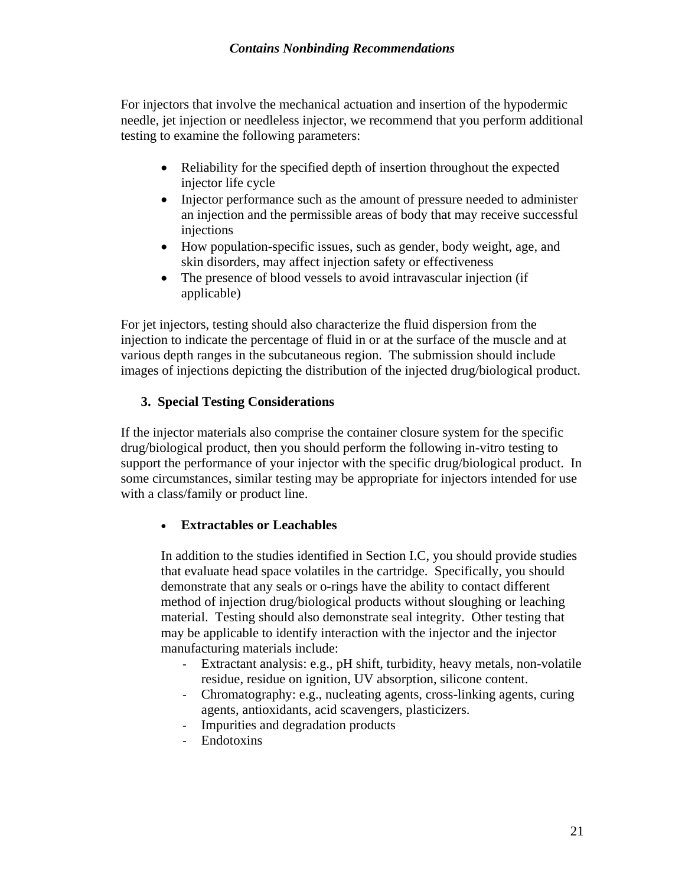For injectors that involve the mechanical actuation and insertion of the hypodermic needle, jet injection or needleless injector, we recommend that you perform additional testing to examine the following parameters:

- Reliability for the specified depth of insertion throughout the expected injector life cycle
- Injector performance such as the amount of pressure needed to administer an injection and the permissible areas of body that may receive successful injections
- How population-specific issues, such as gender, body weight, age, and skin disorders, may affect injection safety or effectiveness
- The presence of blood vessels to avoid intravascular injection (if applicable)

For jet injectors, testing should also characterize the fluid dispersion from the injection to indicate the percentage of fluid in or at the surface of the muscle and at various depth ranges in the subcutaneous region. The submission should include images of injections depicting the distribution of the injected drug/biological product.

#### **3. Special Testing Considerations**

If the injector materials also comprise the container closure system for the specific drug/biological product, then you should perform the following in-vitro testing to support the performance of your injector with the specific drug/biological product. In some circumstances, similar testing may be appropriate for injectors intended for use with a class/family or product line.

#### **Extractables or Leachables**

In addition to the studies identified in Section I.C, you should provide studies that evaluate head space volatiles in the cartridge. Specifically, you should demonstrate that any seals or o-rings have the ability to contact different method of injection drug/biological products without sloughing or leaching material. Testing should also demonstrate seal integrity. Other testing that may be applicable to identify interaction with the injector and the injector manufacturing materials include:

- Extractant analysis: e.g., pH shift, turbidity, heavy metals, non-volatile residue, residue on ignition, UV absorption, silicone content.
- Chromatography: e.g., nucleating agents, cross-linking agents, curing agents, antioxidants, acid scavengers, plasticizers.
- Impurities and degradation products
- Endotoxins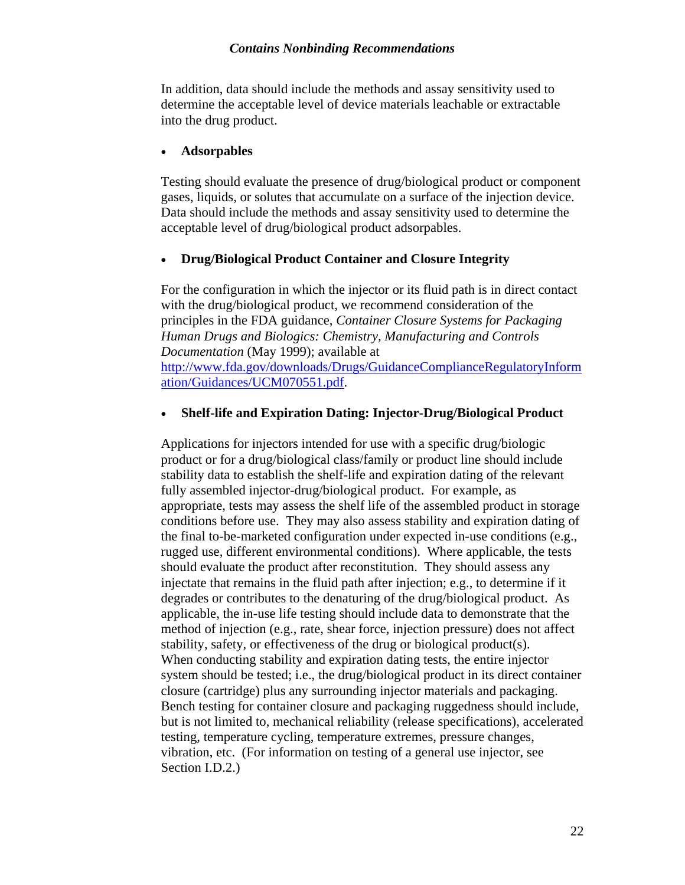In addition, data should include the methods and assay sensitivity used to determine the acceptable level of device materials leachable or extractable into the drug product.

#### **Adsorpables**

Testing should evaluate the presence of drug/biological product or component gases, liquids, or solutes that accumulate on a surface of the injection device. Data should include the methods and assay sensitivity used to determine the acceptable level of drug/biological product adsorpables.

#### **Drug/Biological Product Container and Closure Integrity**

For the configuration in which the injector or its fluid path is in direct contact with the drug/biological product, we recommend consideration of the principles in the FDA guidance, *Container Closure Systems for Packaging Human Drugs and Biologics: Chemistry, Manufacturing and Controls Documentation* (May 1999); available at [http://www.fda.gov/downloads/Drugs/GuidanceComplianceRegulatoryInform](http://www.fda.gov/downloads/Drugs/GuidanceComplianceRegulatoryInformation/Guidances/UCM070551.pdf) [ation/Guidances/UCM070551.pdf.](http://www.fda.gov/downloads/Drugs/GuidanceComplianceRegulatoryInformation/Guidances/UCM070551.pdf)

#### **Shelf-life and Expiration Dating: Injector-Drug/Biological Product**

Applications for injectors intended for use with a specific drug/biologic product or for a drug/biological class/family or product line should include stability data to establish the shelf-life and expiration dating of the relevant fully assembled injector-drug/biological product. For example, as appropriate, tests may assess the shelf life of the assembled product in storage conditions before use. They may also assess stability and expiration dating of the final to-be-marketed configuration under expected in-use conditions (e.g., rugged use, different environmental conditions). Where applicable, the tests should evaluate the product after reconstitution. They should assess any injectate that remains in the fluid path after injection; e.g., to determine if it degrades or contributes to the denaturing of the drug/biological product. As applicable, the in-use life testing should include data to demonstrate that the method of injection (e.g., rate, shear force, injection pressure) does not affect stability, safety, or effectiveness of the drug or biological product(s). When conducting stability and expiration dating tests, the entire injector system should be tested; i.e., the drug/biological product in its direct container closure (cartridge) plus any surrounding injector materials and packaging. Bench testing for container closure and packaging ruggedness should include, but is not limited to, mechanical reliability (release specifications), accelerated testing, temperature cycling, temperature extremes, pressure changes, vibration, etc. (For information on testing of a general use injector, see Section I.D.2.)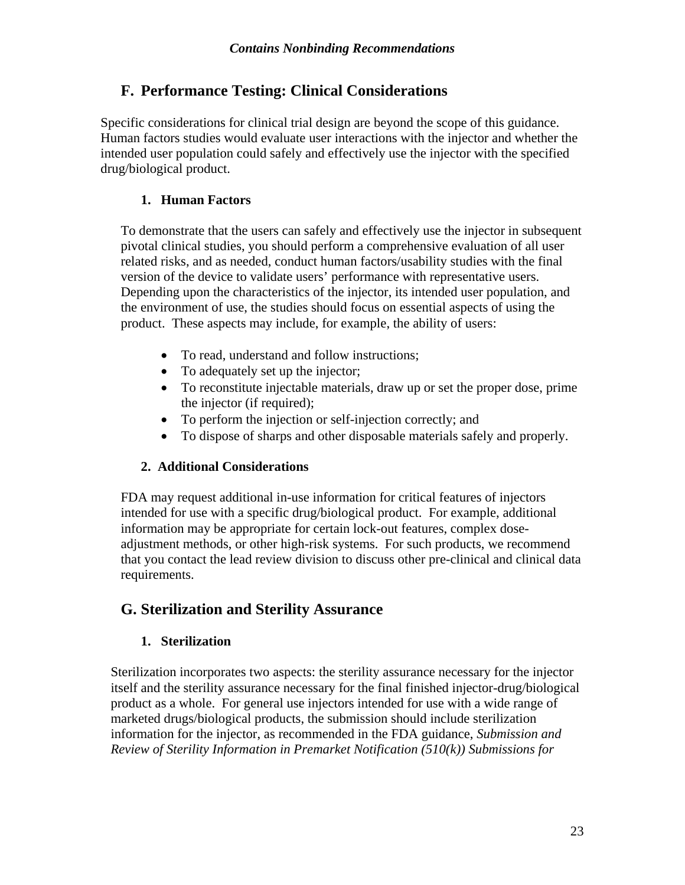#### **F. Performance Testing: Clinical Considerations**

<span id="page-22-0"></span>Specific considerations for clinical trial design are beyond the scope of this guidance. Human factors studies would evaluate user interactions with the injector and whether the intended user population could safely and effectively use the injector with the specified drug/biological product.

#### **1. Human Factors**

To demonstrate that the users can safely and effectively use the injector in subsequent pivotal clinical studies, you should perform a comprehensive evaluation of all user related risks, and as needed, conduct human factors/usability studies with the final version of the device to validate users' performance with representative users. Depending upon the characteristics of the injector, its intended user population, and the environment of use, the studies should focus on essential aspects of using the product. These aspects may include, for example, the ability of users:

- To read, understand and follow instructions;
- To adequately set up the injector;
- To reconstitute injectable materials, draw up or set the proper dose, prime the injector (if required);
- To perform the injection or self-injection correctly; and
- To dispose of sharps and other disposable materials safely and properly.

#### **2. Additional Considerations**

FDA may request additional in-use information for critical features of injectors intended for use with a specific drug/biological product. For example, additional information may be appropriate for certain lock-out features, complex doseadjustment methods, or other high-risk systems. For such products, we recommend that you contact the lead review division to discuss other pre-clinical and clinical data requirements.

#### <span id="page-22-1"></span>**G. Sterilization and Sterility Assurance**

#### **1. Sterilization**

Sterilization incorporates two aspects: the sterility assurance necessary for the injector itself and the sterility assurance necessary for the final finished injector-drug/biological product as a whole. For general use injectors intended for use with a wide range of marketed drugs/biological products, the submission should include sterilization information for the injector, as recommended in the FDA guidance, *Submission and Review of Sterility Information in Premarket Notification (510(k)) Submissions for*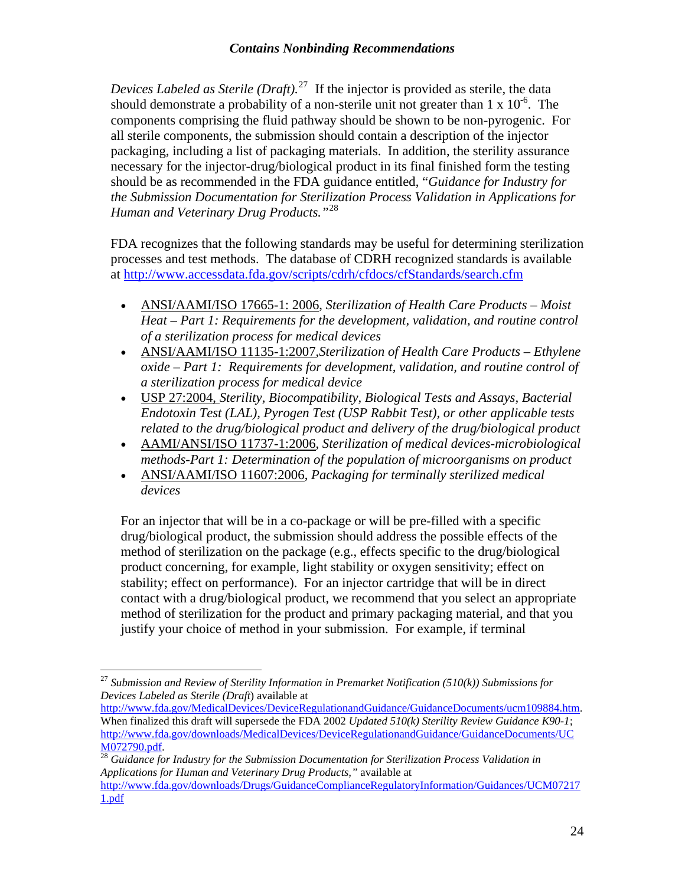*Devices Labeled as Sterile (Draft).*[27](#page-23-0) If the injector is provided as sterile, the data should demonstrate a probability of a non-sterile unit not greater than  $1 \times 10^{-6}$ . The components comprising the fluid pathway should be shown to be non-pyrogenic. For all sterile components, the submission should contain a description of the injector packaging, including a list of packaging materials. In addition, the sterility assurance necessary for the injector-drug/biological product in its final finished form the testing should be as recommended in the FDA guidance entitled, "*Guidance for Industry for the Submission Documentation for Sterilization Process Validation in Applications for Human and Veterinary Drug Products."*[28](#page-23-1)

FDA recognizes that the following standards may be useful for determining sterilization processes and test methods. The database of CDRH recognized standards is available at <http://www.accessdata.fda.gov/scripts/cdrh/cfdocs/cfStandards/search.cfm>

- ANSI/AAMI/ISO 17665-1: 2006, *Sterilization of Health Care Products Moist Heat – Part 1: Requirements for the development, validation, and routine control of a sterilization process for medical devices*
- ANSI/AAMI/ISO 11135-1:2007,*Sterilization of Health Care Products Ethylene oxide – Part 1: Requirements for development, validation, and routine control of a sterilization process for medical device*
- USP 27:2004, *Sterility, Biocompatibility, Biological Tests and Assays, Bacterial Endotoxin Test (LAL), Pyrogen Test (USP Rabbit Test), or other applicable tests related to the drug/biological product and delivery of the drug/biological product*
- AAMI/ANSI/ISO 11737-1:2006, *Sterilization of medical devices-microbiological methods-Part 1: Determination of the population of microorganisms on product*
- ANSI/AAMI/ISO 11607:2006, *Packaging for terminally sterilized medical devices*

For an injector that will be in a co-package or will be pre-filled with a specific drug/biological product, the submission should address the possible effects of the method of sterilization on the package (e.g., effects specific to the drug/biological product concerning, for example, light stability or oxygen sensitivity; effect on stability; effect on performance). For an injector cartridge that will be in direct contact with a drug/biological product, we recommend that you select an appropriate method of sterilization for the product and primary packaging material, and that you justify your choice of method in your submission. For example, if terminal

<span id="page-23-1"></span>*Applications for Human and Veterinary Drug Products,"* available at

<span id="page-23-0"></span><sup>1</sup> <sup>27</sup> *Submission and Review of Sterility Information in Premarket Notification (510(k)) Submissions for Devices Labeled as Sterile (Draft*) available at

<http://www.fda.gov/MedicalDevices/DeviceRegulationandGuidance/GuidanceDocuments/ucm109884.htm>. When finalized this draft will supersede the FDA 2002 *Updated 510(k) Sterility Review Guidance K90-1*; [http://www.fda.gov/downloads/MedicalDevices/DeviceRegulationandGuidance/GuidanceDocuments/UC](http://www.fda.gov/downloads/MedicalDevices/DeviceRegulationandGuidance/GuidanceDocuments/UCM072790.pdf) [M072790.pdf.](http://www.fda.gov/downloads/MedicalDevices/DeviceRegulationandGuidance/GuidanceDocuments/UCM072790.pdf) [28](http://www.fda.gov/downloads/MedicalDevices/DeviceRegulationandGuidance/GuidanceDocuments/UCM072790.pdf) *Guidance for Industry for the Submission Documentation for Sterilization Process Validation in* 

[http://www.fda.gov/downloads/Drugs/GuidanceComplianceRegulatoryInformation/Guidances/UCM07217](http://www.fda.gov/downloads/Drugs/GuidanceComplianceRegulatoryInformation/Guidances/UCM072171.pdf) [1.pdf](http://www.fda.gov/downloads/Drugs/GuidanceComplianceRegulatoryInformation/Guidances/UCM072171.pdf)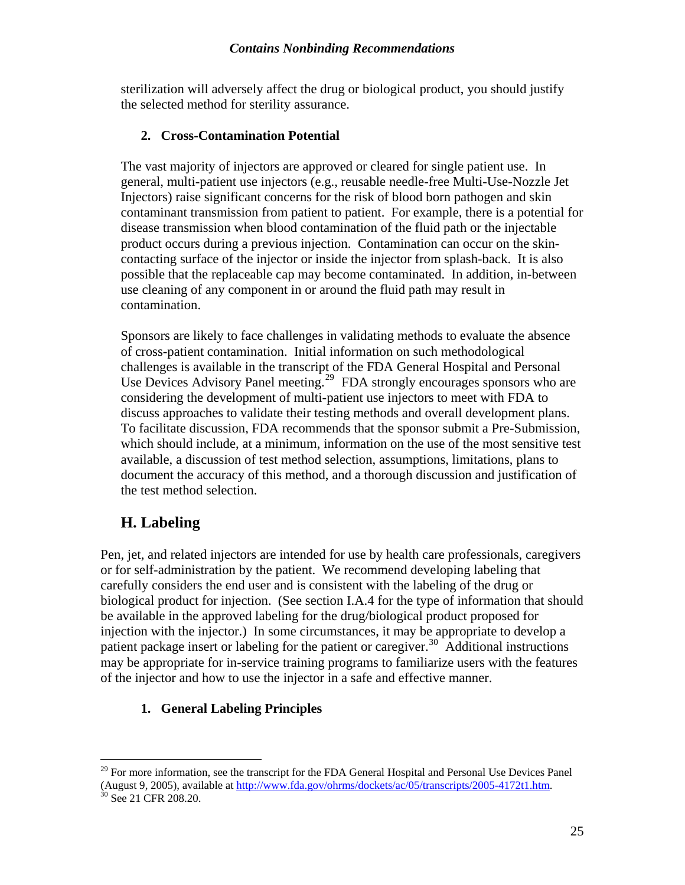sterilization will adversely affect the drug or biological product, you should justify the selected method for sterility assurance.

#### **2. Cross-Contamination Potential**

The vast majority of injectors are approved or cleared for single patient use. In general, multi-patient use injectors (e.g., reusable needle-free Multi-Use-Nozzle Jet Injectors) raise significant concerns for the risk of blood born pathogen and skin contaminant transmission from patient to patient. For example, there is a potential for disease transmission when blood contamination of the fluid path or the injectable product occurs during a previous injection. Contamination can occur on the skincontacting surface of the injector or inside the injector from splash-back. It is also possible that the replaceable cap may become contaminated. In addition, in-between use cleaning of any component in or around the fluid path may result in contamination.

Sponsors are likely to face challenges in validating methods to evaluate the absence of cross-patient contamination. Initial information on such methodological challenges is available in the transcript of the FDA General Hospital and Personal Use Devices Advisory Panel meeting.<sup>[29](#page-24-1)</sup> FDA strongly encourages sponsors who are considering the development of multi-patient use injectors to meet with FDA to discuss approaches to validate their testing methods and overall development plans. To facilitate discussion, FDA recommends that the sponsor submit a Pre-Submission, which should include, at a minimum, information on the use of the most sensitive test available, a discussion of test method selection, assumptions, limitations, plans to document the accuracy of this method, and a thorough discussion and justification of the test method selection.

#### **H. Labeling**

<span id="page-24-0"></span>Pen, jet, and related injectors are intended for use by health care professionals, caregivers or for self-administration by the patient. We recommend developing labeling that carefully considers the end user and is consistent with the labeling of the drug or biological product for injection. (See section I.A.4 for the type of information that should be available in the approved labeling for the drug/biological product proposed for injection with the injector.) In some circumstances, it may be appropriate to develop a patient package insert or labeling for the patient or caregiver.[30](#page-24-2) Additional instructions may be appropriate for in-service training programs to familiarize users with the features of the injector and how to use the injector in a safe and effective manner.

#### **1. General Labeling Principles**

<span id="page-24-1"></span><sup>&</sup>lt;sup>29</sup> For more information, see the transcript for the FDA General Hospital and Personal Use Devices Panel (August 9, 2005), available at [http://www.fda.gov/ohrms/dockets/ac/05/transcripts/2005-4172t1.htm.](http://www.fda.gov/ohrms/dockets/ac/05/transcripts/2005-4172t1.htm) <sup>30</sup> See 21 CFR 208.20.

<span id="page-24-2"></span>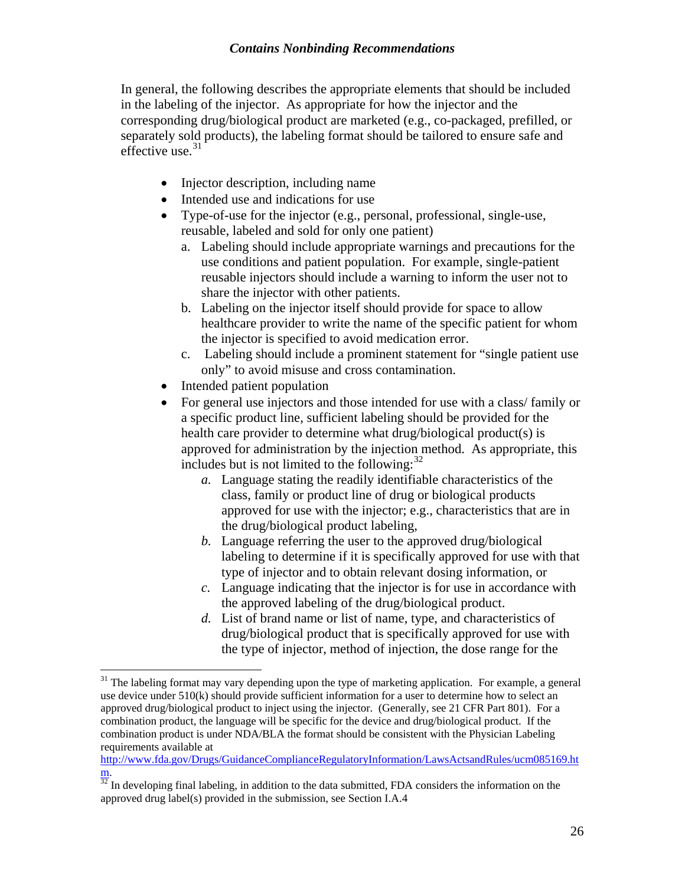In general, the following describes the appropriate elements that should be included in the labeling of the injector. As appropriate for how the injector and the corresponding drug/biological product are marketed (e.g., co-packaged, prefilled, or separately sold products), the labeling format should be tailored to ensure safe and effective use  $31$ 

- Injector description, including name
- Intended use and indications for use
- Type-of-use for the injector (e.g., personal, professional, single-use, reusable, labeled and sold for only one patient)
	- a. Labeling should include appropriate warnings and precautions for the use conditions and patient population. For example, single-patient reusable injectors should include a warning to inform the user not to share the injector with other patients.
	- b. Labeling on the injector itself should provide for space to allow healthcare provider to write the name of the specific patient for whom the injector is specified to avoid medication error.
	- c. Labeling should include a prominent statement for "single patient use only" to avoid misuse and cross contamination.
- Intended patient population

- For general use injectors and those intended for use with a class/ family or a specific product line, sufficient labeling should be provided for the health care provider to determine what drug/biological product(s) is approved for administration by the injection method. As appropriate, this includes but is not limited to the following: $32$ 
	- *a.* Language stating the readily identifiable characteristics of the class, family or product line of drug or biological products approved for use with the injector; e.g., characteristics that are in the drug/biological product labeling,
	- *b.* Language referring the user to the approved drug/biological labeling to determine if it is specifically approved for use with that type of injector and to obtain relevant dosing information, or
	- *c.* Language indicating that the injector is for use in accordance with the approved labeling of the drug/biological product.
	- *d.* List of brand name or list of name, type, and characteristics of drug/biological product that is specifically approved for use with the type of injector, method of injection, the dose range for the

<span id="page-25-0"></span> $31$  The labeling format may vary depending upon the type of marketing application. For example, a general use device under 510(k) should provide sufficient information for a user to determine how to select an approved drug/biological product to inject using the injector. (Generally, see 21 CFR Part 801). For a combination product, the language will be specific for the device and drug/biological product. If the combination product is under NDA/BLA the format should be consistent with the Physician Labeling requirements available at

[http://www.fda.gov/Drugs/GuidanceComplianceRegulatoryInformation/LawsActsandRules/ucm085169.ht](http://www.fda.gov/Drugs/GuidanceComplianceRegulatoryInformation/LawsActsandRules/ucm085169.htm)

<span id="page-25-1"></span> $\frac{m}{32}$  $\frac{m}{32}$  $\frac{m}{32}$  In developing final labeling, in addition to the data submitted, FDA considers the information on the approved drug label(s) provided in the submission, see Section I.A.4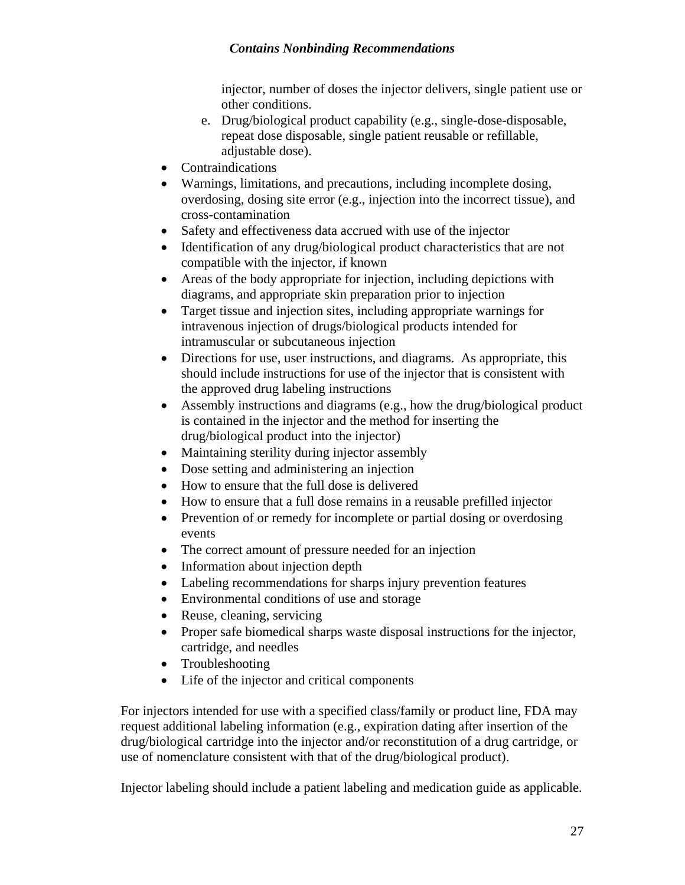injector, number of doses the injector delivers, single patient use or other conditions.

- e. Drug/biological product capability (e.g., single-dose-disposable, repeat dose disposable, single patient reusable or refillable, adjustable dose).
- Contraindications
- Warnings, limitations, and precautions, including incomplete dosing, overdosing, dosing site error (e.g., injection into the incorrect tissue), and cross-contamination
- Safety and effectiveness data accrued with use of the injector
- Identification of any drug/biological product characteristics that are not compatible with the injector, if known
- Areas of the body appropriate for injection, including depictions with diagrams, and appropriate skin preparation prior to injection
- Target tissue and injection sites, including appropriate warnings for intravenous injection of drugs/biological products intended for intramuscular or subcutaneous injection
- Directions for use, user instructions, and diagrams. As appropriate, this should include instructions for use of the injector that is consistent with the approved drug labeling instructions
- Assembly instructions and diagrams (e.g., how the drug/biological product is contained in the injector and the method for inserting the drug/biological product into the injector)
- Maintaining sterility during injector assembly
- Dose setting and administering an injection
- How to ensure that the full dose is delivered
- How to ensure that a full dose remains in a reusable prefilled injector
- Prevention of or remedy for incomplete or partial dosing or overdosing events
- The correct amount of pressure needed for an injection
- Information about injection depth
- Labeling recommendations for sharps injury prevention features
- Environmental conditions of use and storage
- Reuse, cleaning, servicing
- Proper safe biomedical sharps waste disposal instructions for the injector, cartridge, and needles
- Troubleshooting
- Life of the injector and critical components

For injectors intended for use with a specified class/family or product line, FDA may request additional labeling information (e.g., expiration dating after insertion of the drug/biological cartridge into the injector and/or reconstitution of a drug cartridge, or use of nomenclature consistent with that of the drug/biological product).

Injector labeling should include a patient labeling and medication guide as applicable.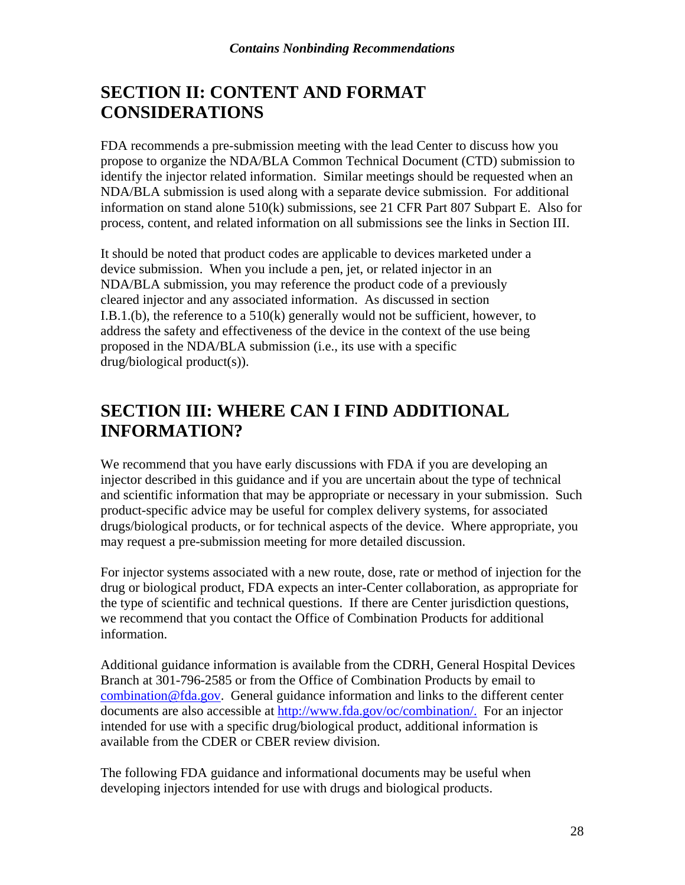# <span id="page-27-0"></span>**SECTION II: CONTENT AND FORMAT CONSIDERATIONS**

FDA recommends a pre-submission meeting with the lead Center to discuss how you propose to organize the NDA/BLA Common Technical Document (CTD) submission to identify the injector related information. Similar meetings should be requested when an NDA/BLA submission is used along with a separate device submission. For additional information on stand alone 510(k) submissions, see 21 CFR Part 807 Subpart E. Also for process, content, and related information on all submissions see the links in Section III.

It should be noted that product codes are applicable to devices marketed under a device submission. When you include a pen, jet, or related injector in an NDA/BLA submission, you may reference the product code of a previously cleared injector and any associated information. As discussed in section I.B.1.(b), the reference to a 510(k) generally would not be sufficient, however, to address the safety and effectiveness of the device in the context of the use being proposed in the NDA/BLA submission (i.e., its use with a specific drug/biological product(s)).

# <span id="page-27-1"></span>**SECTION III: WHERE CAN I FIND ADDITIONAL INFORMATION?**

We recommend that you have early discussions with FDA if you are developing an injector described in this guidance and if you are uncertain about the type of technical and scientific information that may be appropriate or necessary in your submission. Such product-specific advice may be useful for complex delivery systems, for associated drugs/biological products, or for technical aspects of the device. Where appropriate, you may request a pre-submission meeting for more detailed discussion.

For injector systems associated with a new route, dose, rate or method of injection for the drug or biological product, FDA expects an inter-Center collaboration, as appropriate for the type of scientific and technical questions. If there are Center jurisdiction questions, we recommend that you contact the Office of Combination Products for additional information.

Additional guidance information is available from the CDRH, General Hospital Devices Branch at 301-796-2585 or from the Office of Combination Products by email to [combination@fda.gov](mailto:combination@fda.gov). General guidance information and links to the different center documents are also accessible at [http://www.fda.gov/oc/combination/.](http://www.fda.gov/oc/combination/) For an injector intended for use with a specific drug/biological product, additional information is available from the CDER or CBER review division.

The following FDA guidance and informational documents may be useful when developing injectors intended for use with drugs and biological products.